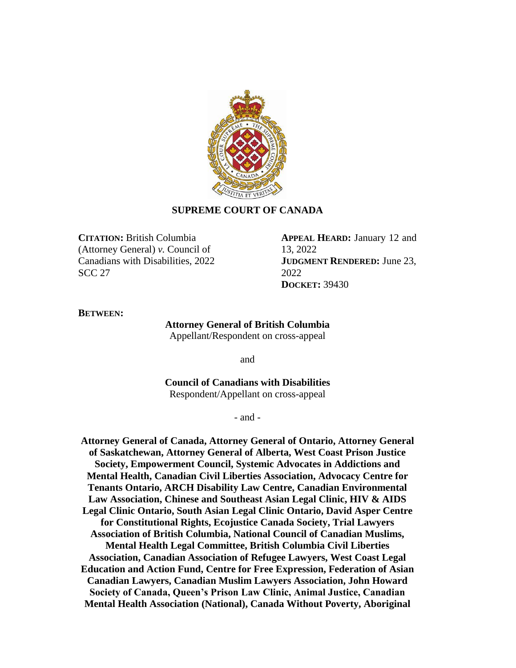

# **SUPREME COURT OF CANADA**

**CITATION:** British Columbia (Attorney General) *v.* Council of Canadians with Disabilities, 2022 SCC 27

**APPEAL HEARD:** January 12 and 13, 2022 **JUDGMENT RENDERED:** June 23, 2022 **DOCKET:** 39430

#### **BETWEEN:**

# **Attorney General of British Columbia**

Appellant/Respondent on cross-appeal

and

**Council of Canadians with Disabilities** Respondent/Appellant on cross-appeal

- and -

**Attorney General of Canada, Attorney General of Ontario, Attorney General of Saskatchewan, Attorney General of Alberta, West Coast Prison Justice Society, Empowerment Council, Systemic Advocates in Addictions and Mental Health, Canadian Civil Liberties Association, Advocacy Centre for Tenants Ontario, ARCH Disability Law Centre, Canadian Environmental Law Association, Chinese and Southeast Asian Legal Clinic, HIV & AIDS Legal Clinic Ontario, South Asian Legal Clinic Ontario, David Asper Centre for Constitutional Rights, Ecojustice Canada Society, Trial Lawyers Association of British Columbia, National Council of Canadian Muslims, Mental Health Legal Committee, British Columbia Civil Liberties Association, Canadian Association of Refugee Lawyers, West Coast Legal Education and Action Fund, Centre for Free Expression, Federation of Asian Canadian Lawyers, Canadian Muslim Lawyers Association, John Howard Society of Canada, Queen's Prison Law Clinic, Animal Justice, Canadian Mental Health Association (National), Canada Without Poverty, Aboriginal**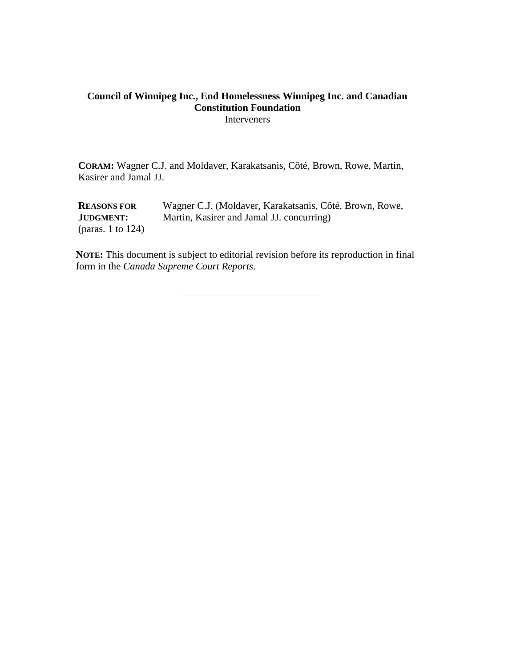# **Council of Winnipeg Inc., End Homelessness Winnipeg Inc. and Canadian Constitution Foundation** Interveners

**CORAM:** Wagner C.J. and Moldaver, Karakatsanis, Côté, Brown, Rowe, Martin, Kasirer and Jamal JJ.

**REASONS FOR JUDGMENT:** (paras. 1 to 124) Wagner C.J. (Moldaver, Karakatsanis, Côté, Brown, Rowe, Martin, Kasirer and Jamal JJ. concurring)

**NOTE:** This document is subject to editorial revision before its reproduction in final form in the *Canada Supreme Court Reports*.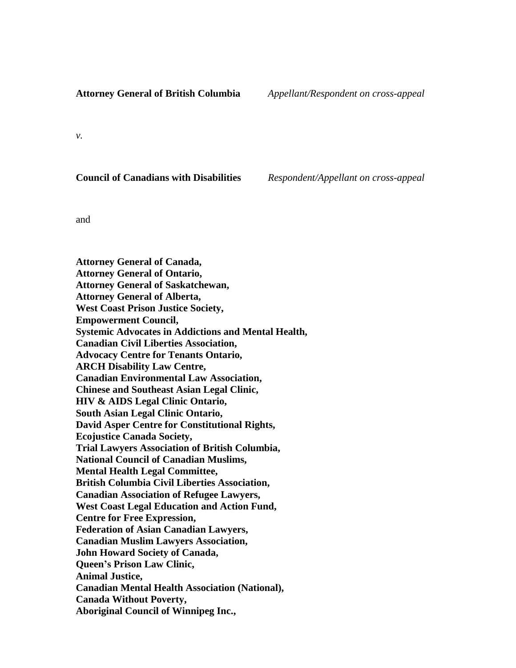### **Attorney General of British Columbia** *Appellant/Respondent on cross-appeal*

*v.*

**Council of Canadians with Disabilities** *Respondent/Appellant on cross-appeal*

and

**Attorney General of Canada, Attorney General of Ontario, Attorney General of Saskatchewan, Attorney General of Alberta, West Coast Prison Justice Society, Empowerment Council, Systemic Advocates in Addictions and Mental Health, Canadian Civil Liberties Association, Advocacy Centre for Tenants Ontario, ARCH Disability Law Centre, Canadian Environmental Law Association, Chinese and Southeast Asian Legal Clinic, HIV & AIDS Legal Clinic Ontario, South Asian Legal Clinic Ontario, David Asper Centre for Constitutional Rights, Ecojustice Canada Society, Trial Lawyers Association of British Columbia, National Council of Canadian Muslims, Mental Health Legal Committee, British Columbia Civil Liberties Association, Canadian Association of Refugee Lawyers, West Coast Legal Education and Action Fund, Centre for Free Expression, Federation of Asian Canadian Lawyers, Canadian Muslim Lawyers Association, John Howard Society of Canada, Queen's Prison Law Clinic, Animal Justice, Canadian Mental Health Association (National), Canada Without Poverty, Aboriginal Council of Winnipeg Inc.,**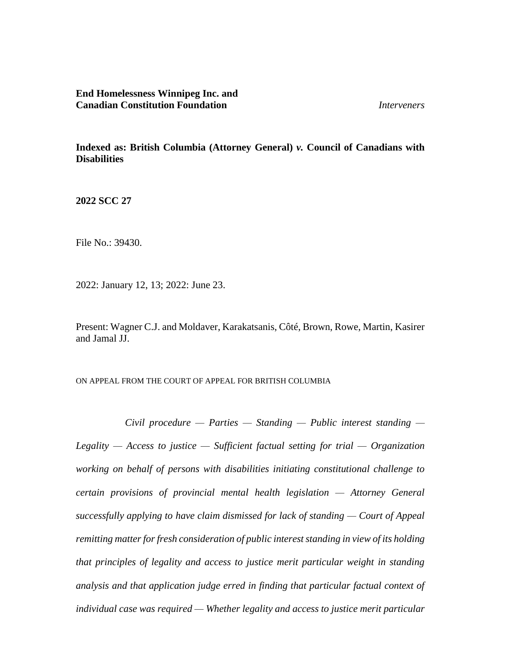**End Homelessness Winnipeg Inc. and Canadian Constitution Foundation** *Interveners*

**Indexed as: British Columbia (Attorney General)** *v.* **Council of Canadians with Disabilities**

**2022 SCC 27**

File No.: 39430.

2022: January 12, 13; 2022: June 23.

Present: Wagner C.J. and Moldaver, Karakatsanis, Côté, Brown, Rowe, Martin, Kasirer and Jamal JJ.

ON APPEAL FROM THE COURT OF APPEAL FOR BRITISH COLUMBIA

*Civil procedure — Parties — Standing — Public interest standing — Legality — Access to justice — Sufficient factual setting for trial — Organization working on behalf of persons with disabilities initiating constitutional challenge to certain provisions of provincial mental health legislation — Attorney General successfully applying to have claim dismissed for lack of standing — Court of Appeal remitting matter for fresh consideration of public interest standing in view of its holding that principles of legality and access to justice merit particular weight in standing analysis and that application judge erred in finding that particular factual context of individual case was required — Whether legality and access to justice merit particular*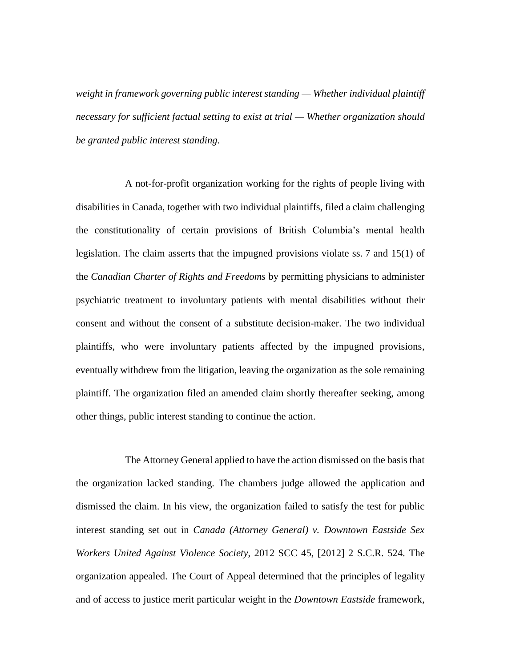*weight in framework governing public interest standing — Whether individual plaintiff necessary for sufficient factual setting to exist at trial — Whether organization should be granted public interest standing.*

A not-for-profit organization working for the rights of people living with disabilities in Canada, together with two individual plaintiffs, filed a claim challenging the constitutionality of certain provisions of British Columbia's mental health legislation. The claim asserts that the impugned provisions violate ss. 7 and 15(1) of the *Canadian Charter of Rights and Freedoms* by permitting physicians to administer psychiatric treatment to involuntary patients with mental disabilities without their consent and without the consent of a substitute decision-maker. The two individual plaintiffs, who were involuntary patients affected by the impugned provisions, eventually withdrew from the litigation, leaving the organization as the sole remaining plaintiff. The organization filed an amended claim shortly thereafter seeking, among other things, public interest standing to continue the action.

The Attorney General applied to have the action dismissed on the basis that the organization lacked standing. The chambers judge allowed the application and dismissed the claim. In his view, the organization failed to satisfy the test for public interest standing set out in *Canada (Attorney General) v. Downtown Eastside Sex Workers United Against Violence Society*, 2012 SCC 45, [2012] 2 S.C.R. 524. The organization appealed. The Court of Appeal determined that the principles of legality and of access to justice merit particular weight in the *Downtown Eastside* framework,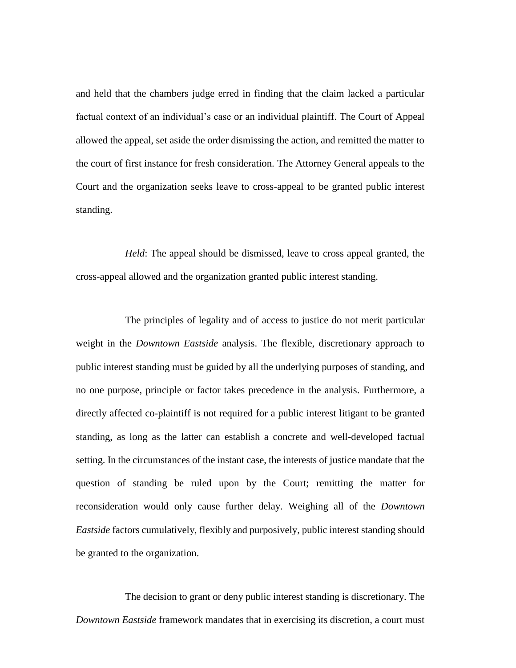and held that the chambers judge erred in finding that the claim lacked a particular factual context of an individual's case or an individual plaintiff. The Court of Appeal allowed the appeal, set aside the order dismissing the action, and remitted the matter to the court of first instance for fresh consideration. The Attorney General appeals to the Court and the organization seeks leave to cross-appeal to be granted public interest standing.

*Held*: The appeal should be dismissed, leave to cross appeal granted, the cross-appeal allowed and the organization granted public interest standing.

The principles of legality and of access to justice do not merit particular weight in the *Downtown Eastside* analysis. The flexible, discretionary approach to public interest standing must be guided by all the underlying purposes of standing, and no one purpose, principle or factor takes precedence in the analysis. Furthermore, a directly affected co-plaintiff is not required for a public interest litigant to be granted standing, as long as the latter can establish a concrete and well-developed factual setting. In the circumstances of the instant case, the interests of justice mandate that the question of standing be ruled upon by the Court; remitting the matter for reconsideration would only cause further delay. Weighing all of the *Downtown Eastside* factors cumulatively, flexibly and purposively, public interest standing should be granted to the organization.

The decision to grant or deny public interest standing is discretionary. The *Downtown Eastside* framework mandates that in exercising its discretion, a court must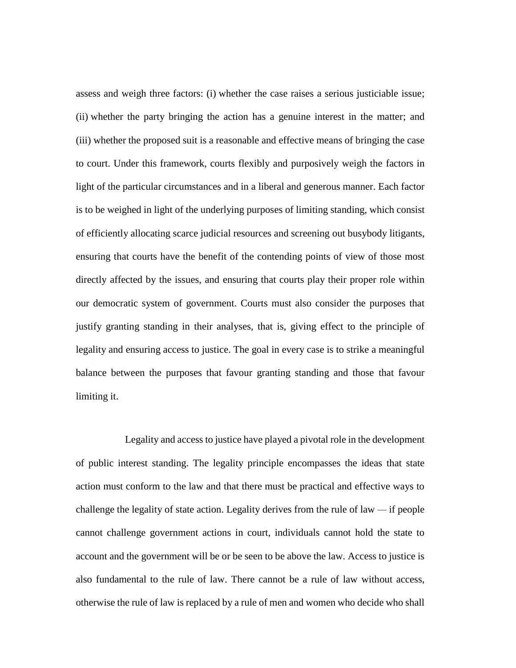assess and weigh three factors: (i) whether the case raises a serious justiciable issue; (ii) whether the party bringing the action has a genuine interest in the matter; and (iii) whether the proposed suit is a reasonable and effective means of bringing the case to court. Under this framework, courts flexibly and purposively weigh the factors in light of the particular circumstances and in a liberal and generous manner. Each factor is to be weighed in light of the underlying purposes of limiting standing, which consist of efficiently allocating scarce judicial resources and screening out busybody litigants, ensuring that courts have the benefit of the contending points of view of those most directly affected by the issues, and ensuring that courts play their proper role within our democratic system of government. Courts must also consider the purposes that justify granting standing in their analyses, that is, giving effect to the principle of legality and ensuring access to justice. The goal in every case is to strike a meaningful balance between the purposes that favour granting standing and those that favour limiting it.

Legality and access to justice have played a pivotal role in the development of public interest standing. The legality principle encompasses the ideas that state action must conform to the law and that there must be practical and effective ways to challenge the legality of state action. Legality derives from the rule of law *—* if people cannot challenge government actions in court, individuals cannot hold the state to account and the government will be or be seen to be above the law. Access to justice is also fundamental to the rule of law. There cannot be a rule of law without access, otherwise the rule of law is replaced by a rule of men and women who decide who shall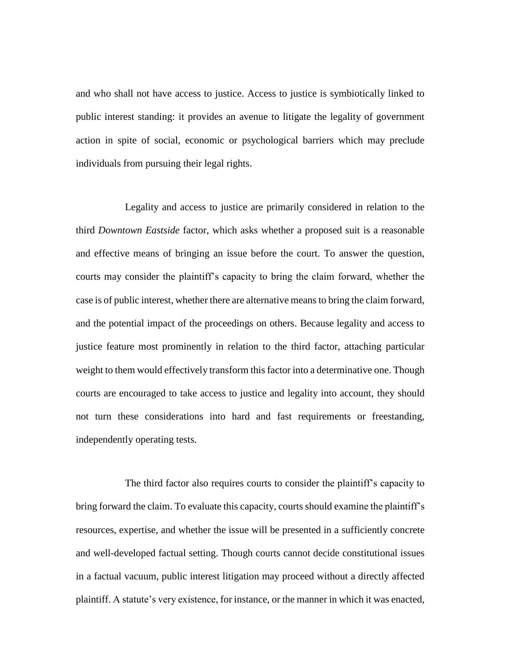and who shall not have access to justice. Access to justice is symbiotically linked to public interest standing: it provides an avenue to litigate the legality of government action in spite of social, economic or psychological barriers which may preclude individuals from pursuing their legal rights.

Legality and access to justice are primarily considered in relation to the third *Downtown Eastside* factor, which asks whether a proposed suit is a reasonable and effective means of bringing an issue before the court. To answer the question, courts may consider the plaintiff's capacity to bring the claim forward, whether the case is of public interest, whether there are alternative means to bring the claim forward, and the potential impact of the proceedings on others. Because legality and access to justice feature most prominently in relation to the third factor, attaching particular weight to them would effectively transform this factor into a determinative one. Though courts are encouraged to take access to justice and legality into account, they should not turn these considerations into hard and fast requirements or freestanding, independently operating tests.

The third factor also requires courts to consider the plaintiff's capacity to bring forward the claim. To evaluate this capacity, courts should examine the plaintiff's resources, expertise, and whether the issue will be presented in a sufficiently concrete and well-developed factual setting. Though courts cannot decide constitutional issues in a factual vacuum, public interest litigation may proceed without a directly affected plaintiff. A statute's very existence, for instance, or the manner in which it was enacted,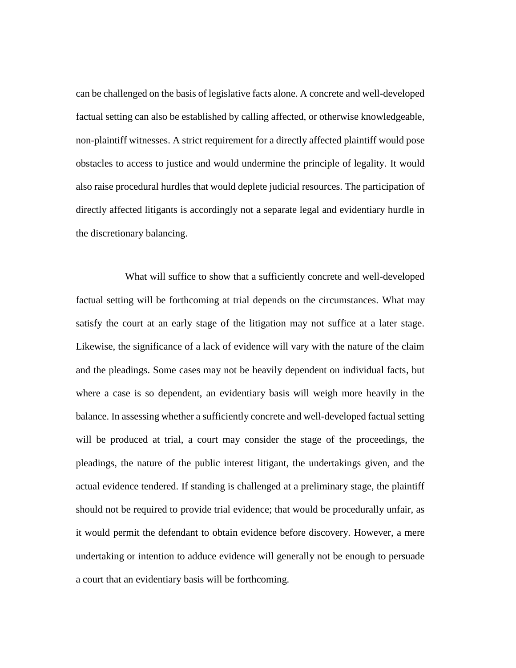can be challenged on the basis of legislative facts alone. A concrete and well-developed factual setting can also be established by calling affected, or otherwise knowledgeable, non-plaintiff witnesses. A strict requirement for a directly affected plaintiff would pose obstacles to access to justice and would undermine the principle of legality. It would also raise procedural hurdles that would deplete judicial resources. The participation of directly affected litigants is accordingly not a separate legal and evidentiary hurdle in the discretionary balancing.

What will suffice to show that a sufficiently concrete and well-developed factual setting will be forthcoming at trial depends on the circumstances. What may satisfy the court at an early stage of the litigation may not suffice at a later stage. Likewise, the significance of a lack of evidence will vary with the nature of the claim and the pleadings. Some cases may not be heavily dependent on individual facts, but where a case is so dependent, an evidentiary basis will weigh more heavily in the balance. In assessing whether a sufficiently concrete and well-developed factual setting will be produced at trial, a court may consider the stage of the proceedings, the pleadings, the nature of the public interest litigant, the undertakings given, and the actual evidence tendered. If standing is challenged at a preliminary stage, the plaintiff should not be required to provide trial evidence; that would be procedurally unfair, as it would permit the defendant to obtain evidence before discovery. However, a mere undertaking or intention to adduce evidence will generally not be enough to persuade a court that an evidentiary basis will be forthcoming.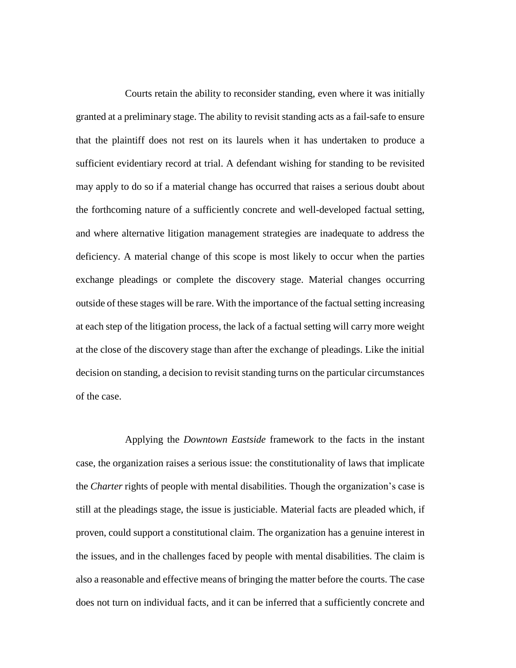Courts retain the ability to reconsider standing, even where it was initially granted at a preliminary stage. The ability to revisit standing acts as a fail-safe to ensure that the plaintiff does not rest on its laurels when it has undertaken to produce a sufficient evidentiary record at trial. A defendant wishing for standing to be revisited may apply to do so if a material change has occurred that raises a serious doubt about the forthcoming nature of a sufficiently concrete and well-developed factual setting, and where alternative litigation management strategies are inadequate to address the deficiency. A material change of this scope is most likely to occur when the parties exchange pleadings or complete the discovery stage. Material changes occurring outside of these stages will be rare. With the importance of the factual setting increasing at each step of the litigation process, the lack of a factual setting will carry more weight at the close of the discovery stage than after the exchange of pleadings. Like the initial decision on standing, a decision to revisit standing turns on the particular circumstances of the case.

Applying the *Downtown Eastside* framework to the facts in the instant case, the organization raises a serious issue: the constitutionality of laws that implicate the *Charter* rights of people with mental disabilities. Though the organization's case is still at the pleadings stage, the issue is justiciable. Material facts are pleaded which, if proven, could support a constitutional claim. The organization has a genuine interest in the issues, and in the challenges faced by people with mental disabilities. The claim is also a reasonable and effective means of bringing the matter before the courts. The case does not turn on individual facts, and it can be inferred that a sufficiently concrete and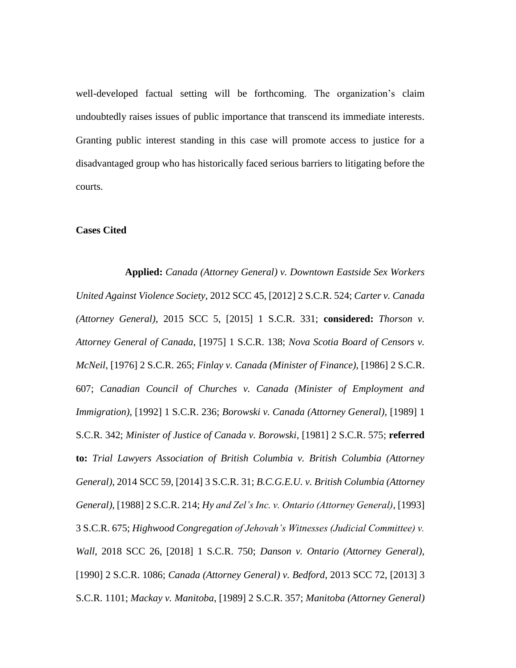well-developed factual setting will be forthcoming. The organization's claim undoubtedly raises issues of public importance that transcend its immediate interests. Granting public interest standing in this case will promote access to justice for a disadvantaged group who has historically faced serious barriers to litigating before the courts.

### **Cases Cited**

**Applied:** *Canada (Attorney General) v. Downtown Eastside Sex Workers United Against Violence Society*, 2012 SCC 45, [2012] 2 S.C.R. 524; *Carter v. Canada (Attorney General)*, 2015 SCC 5, [2015] 1 S.C.R. 331; **considered:** *Thorson v. Attorney General of Canada*, [1975] 1 S.C.R. 138; *Nova Scotia Board of Censors v. McNeil*, [1976] 2 S.C.R. 265; *Finlay v. Canada (Minister of Finance)*, [1986] 2 S.C.R. 607; *Canadian Council of Churches v. Canada (Minister of Employment and Immigration)*, [1992] 1 S.C.R. 236; *Borowski v. Canada (Attorney General)*, [1989] 1 S.C.R. 342; *Minister of Justice of Canada v. Borowski*, [1981] 2 S.C.R. 575; **referred to:** *Trial Lawyers Association of British Columbia v. British Columbia (Attorney General)*, 2014 SCC 59, [2014] 3 S.C.R. 31; *B.C.G.E.U. v. British Columbia (Attorney General)*, [1988] 2 S.C.R. 214; *Hy and Zel's Inc. v. Ontario (Attorney General)*, [1993] 3 S.C.R. 675; *Highwood Congregation of Jehovah's Witnesses (Judicial Committee) v. Wall*, 2018 SCC 26, [2018] 1 S.C.R. 750; *Danson v. Ontario (Attorney General)*, [1990] 2 S.C.R. 1086; *Canada (Attorney General) v. Bedford*, 2013 SCC 72, [2013] 3 S.C.R. 1101; *Mackay v. Manitoba*, [1989] 2 S.C.R. 357; *Manitoba (Attorney General)*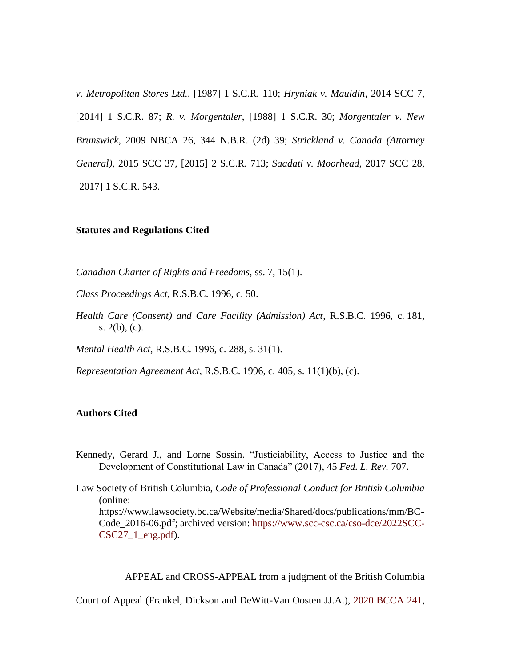*v. Metropolitan Stores Ltd.*, [1987] 1 S.C.R. 110; *Hryniak v. Mauldin*, 2014 SCC 7, [2014] 1 S.C.R. 87; *R. v. Morgentaler*, [1988] 1 S.C.R. 30; *Morgentaler v. New Brunswick*, 2009 NBCA 26, 344 N.B.R. (2d) 39; *Strickland v. Canada (Attorney General)*, 2015 SCC 37, [2015] 2 S.C.R. 713; *Saadati v. Moorhead*, 2017 SCC 28, [2017] 1 S.C.R. 543.

#### **Statutes and Regulations Cited**

*Canadian Charter of Rights and Freedoms*, ss. 7, 15(1).

*Class Proceedings Act*, R.S.B.C. 1996, c. 50.

*Health Care (Consent) and Care Facility (Admission) Act*, R.S.B.C. 1996, c. 181, s. 2(b), (c).

*Mental Health Act*, R.S.B.C. 1996, c. 288, s. 31(1).

*Representation Agreement Act*, R.S.B.C. 1996, c. 405, s. 11(1)(b), (c).

# **Authors Cited**

Kennedy, Gerard J., and Lorne Sossin. "Justiciability, Access to Justice and the Development of Constitutional Law in Canada" (2017), 45 *Fed. L. Rev.* 707.

Law Society of British Columbia, *Code of Professional Conduct for British Columbia* (online: https://www.lawsociety.bc.ca/Website/media/Shared/docs/publications/mm/BC-Code\_2016-06.pdf; archived version: [https://www.scc-csc.ca/cso-dce/2022SCC-](https://www.scc-csc.ca/cso-dce/2022SCC-CSC27_1_eng.pdf) $CSC27_1_$ eng.pdf).

APPEAL and CROSS-APPEAL from a judgment of the British Columbia

Court of Appeal (Frankel, Dickson and DeWitt-Van Oosten JJ.A.), [2020 BCCA 241,](https://www.bccourts.ca/jdb-txt/ca/20/02/2020BCCA0241.htm)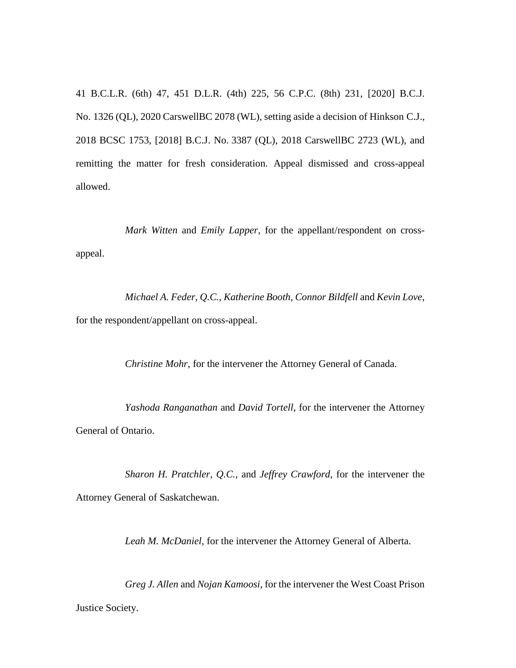41 B.C.L.R. (6th) 47, 451 D.L.R. (4th) 225, 56 C.P.C. (8th) 231, [2020] B.C.J. No. 1326 (QL), 2020 CarswellBC 2078 (WL), setting aside a decision of Hinkson C.J., 2018 BCSC 1753, [2018] B.C.J. No. 3387 (QL), 2018 CarswellBC 2723 (WL), and remitting the matter for fresh consideration. Appeal dismissed and cross-appeal allowed.

*Mark Witten* and *Emily Lapper*, for the appellant/respondent on crossappeal.

*Michael A. Feder*, *Q.C.*, *Katherine Booth*, *Connor Bildfell* and *Kevin Love*, for the respondent/appellant on cross-appeal.

*Christine Mohr*, for the intervener the Attorney General of Canada.

*Yashoda Ranganathan* and *David Tortell*, for the intervener the Attorney General of Ontario.

*Sharon H. Pratchler*, *Q.C.*, and *Jeffrey Crawford*, for the intervener the Attorney General of Saskatchewan.

*Leah M. McDaniel*, for the intervener the Attorney General of Alberta.

*Greg J. Allen* and *Nojan Kamoosi*, for the intervener the West Coast Prison Justice Society.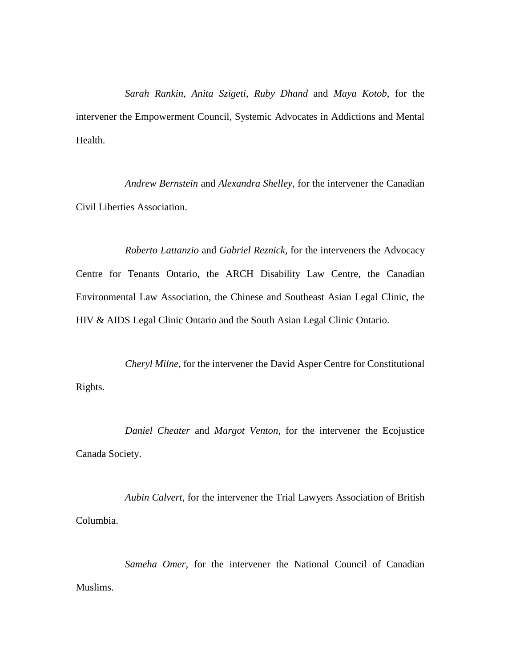*Sarah Rankin*, *Anita Szigeti*, *Ruby Dhand* and *Maya Kotob*, for the intervener the Empowerment Council, Systemic Advocates in Addictions and Mental Health.

*Andrew Bernstein* and *Alexandra Shelley*, for the intervener the Canadian Civil Liberties Association.

*Roberto Lattanzio* and *Gabriel Reznick*, for the interveners the Advocacy Centre for Tenants Ontario, the ARCH Disability Law Centre, the Canadian Environmental Law Association, the Chinese and Southeast Asian Legal Clinic, the HIV & AIDS Legal Clinic Ontario and the South Asian Legal Clinic Ontario.

*Cheryl Milne*, for the intervener the David Asper Centre for Constitutional Rights.

*Daniel Cheater* and *Margot Venton*, for the intervener the Ecojustice Canada Society.

*Aubin Calvert*, for the intervener the Trial Lawyers Association of British Columbia.

*Sameha Omer*, for the intervener the National Council of Canadian Muslims.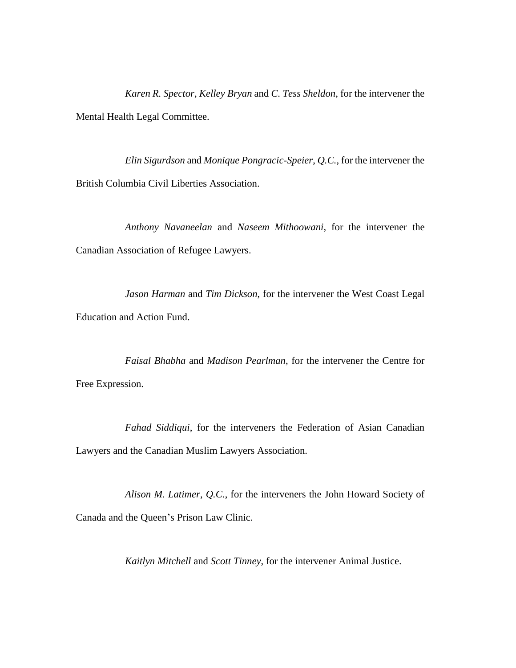*Karen R. Spector*, *Kelley Bryan* and *C. Tess Sheldon*, for the intervener the Mental Health Legal Committee.

*Elin Sigurdson* and *Monique Pongracic-Speier*, *Q.C.*, for the intervener the British Columbia Civil Liberties Association.

*Anthony Navaneelan* and *Naseem Mithoowani*, for the intervener the Canadian Association of Refugee Lawyers.

*Jason Harman* and *Tim Dickson*, for the intervener the West Coast Legal Education and Action Fund.

*Faisal Bhabha* and *Madison Pearlman*, for the intervener the Centre for Free Expression.

*Fahad Siddiqui*, for the interveners the Federation of Asian Canadian Lawyers and the Canadian Muslim Lawyers Association.

*Alison M. Latimer*, *Q.C.*, for the interveners the John Howard Society of Canada and the Queen's Prison Law Clinic.

*Kaitlyn Mitchell* and *Scott Tinney*, for the intervener Animal Justice.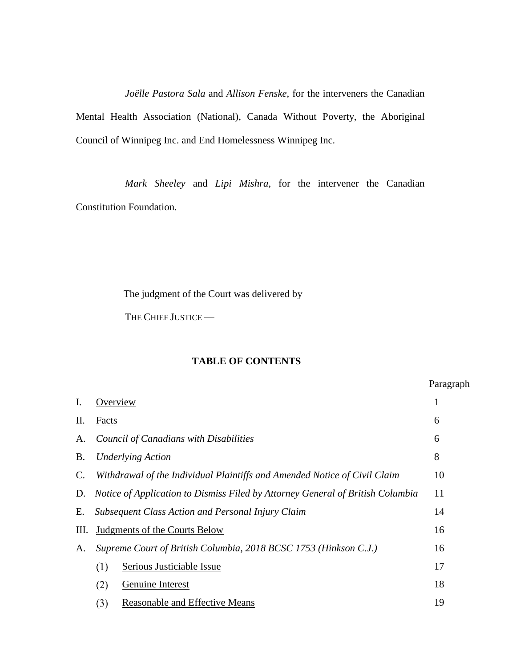*Joëlle Pastora Sala* and *Allison Fenske*, for the interveners the Canadian Mental Health Association (National), Canada Without Poverty, the Aboriginal Council of Winnipeg Inc. and End Homelessness Winnipeg Inc.

*Mark Sheeley* and *Lipi Mishra*, for the intervener the Canadian Constitution Foundation.

The judgment of the Court was delivered by

THE CHIEF JUSTICE —

# **TABLE OF CONTENTS**

|    |                                                                                | Paragraph    |  |  |
|----|--------------------------------------------------------------------------------|--------------|--|--|
| I. | Overview                                                                       | $\mathbf{1}$ |  |  |
| Π. | Facts                                                                          | 6            |  |  |
| А. | Council of Canadians with Disabilities                                         |              |  |  |
| Β. | <b>Underlying Action</b>                                                       |              |  |  |
| C. | Withdrawal of the Individual Plaintiffs and Amended Notice of Civil Claim      |              |  |  |
| D. | Notice of Application to Dismiss Filed by Attorney General of British Columbia |              |  |  |
| Е. | <b>Subsequent Class Action and Personal Injury Claim</b>                       |              |  |  |
| Ш. | <b>Judgments of the Courts Below</b>                                           |              |  |  |
| А. | Supreme Court of British Columbia, 2018 BCSC 1753 (Hinkson C.J.)               |              |  |  |
|    | (1)<br>Serious Justiciable Issue                                               | 17           |  |  |
|    | (2)<br>Genuine Interest                                                        | 18           |  |  |
|    | (3)<br>Reasonable and Effective Means                                          | 19           |  |  |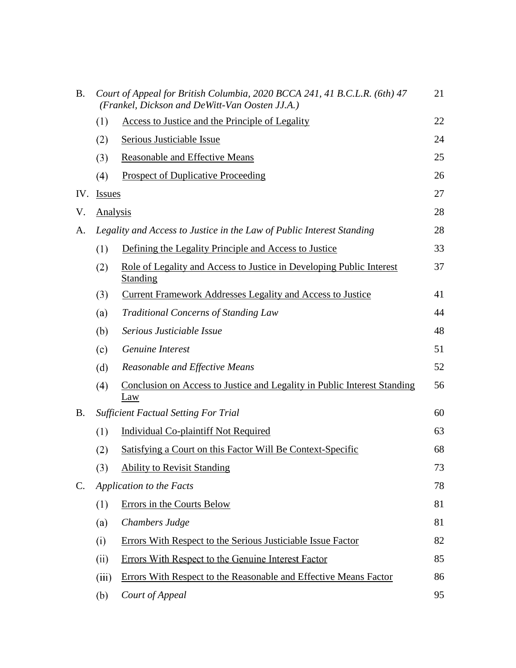| <b>B.</b>      | Court of Appeal for British Columbia, 2020 BCCA 241, 41 B.C.L.R. (6th) 47<br>(Frankel, Dickson and DeWitt-Van Oosten JJ.A.) |                                                                                         |    |  |
|----------------|-----------------------------------------------------------------------------------------------------------------------------|-----------------------------------------------------------------------------------------|----|--|
|                | (1)                                                                                                                         | Access to Justice and the Principle of Legality                                         | 22 |  |
|                | (2)                                                                                                                         | Serious Justiciable Issue                                                               | 24 |  |
|                | (3)                                                                                                                         | <b>Reasonable and Effective Means</b>                                                   | 25 |  |
|                | (4)                                                                                                                         | <b>Prospect of Duplicative Proceeding</b>                                               | 26 |  |
| IV.            | <b>Issues</b>                                                                                                               |                                                                                         | 27 |  |
| V.             | <b>Analysis</b>                                                                                                             |                                                                                         | 28 |  |
| A.             | Legality and Access to Justice in the Law of Public Interest Standing                                                       |                                                                                         |    |  |
|                | (1)                                                                                                                         | Defining the Legality Principle and Access to Justice                                   | 33 |  |
|                | (2)                                                                                                                         | Role of Legality and Access to Justice in Developing Public Interest<br><b>Standing</b> | 37 |  |
|                | (3)                                                                                                                         | <b>Current Framework Addresses Legality and Access to Justice</b>                       | 41 |  |
|                | (a)                                                                                                                         | <b>Traditional Concerns of Standing Law</b>                                             | 44 |  |
|                | (b)                                                                                                                         | Serious Justiciable Issue                                                               | 48 |  |
|                | (c)                                                                                                                         | Genuine Interest                                                                        | 51 |  |
|                | (d)                                                                                                                         | Reasonable and Effective Means                                                          | 52 |  |
|                | (4)                                                                                                                         | Conclusion on Access to Justice and Legality in Public Interest Standing<br>Law         | 56 |  |
| <b>B.</b>      | <b>Sufficient Factual Setting For Trial</b>                                                                                 |                                                                                         |    |  |
|                | (1)                                                                                                                         | <b>Individual Co-plaintiff Not Required</b>                                             | 63 |  |
|                | (2)                                                                                                                         | Satisfying a Court on this Factor Will Be Context-Specific                              | 68 |  |
|                | (3)                                                                                                                         | <b>Ability to Revisit Standing</b>                                                      | 73 |  |
| $\mathbf{C}$ . | <b>Application to the Facts</b>                                                                                             |                                                                                         |    |  |
|                | (1)                                                                                                                         | Errors in the Courts Below                                                              | 81 |  |
|                | (a)                                                                                                                         | Chambers Judge                                                                          | 81 |  |
|                | (i)                                                                                                                         | Errors With Respect to the Serious Justiciable Issue Factor                             | 82 |  |
|                | (ii)                                                                                                                        | Errors With Respect to the Genuine Interest Factor                                      | 85 |  |
|                | (iii)                                                                                                                       | Errors With Respect to the Reasonable and Effective Means Factor                        | 86 |  |
|                | (b)                                                                                                                         | Court of Appeal                                                                         | 95 |  |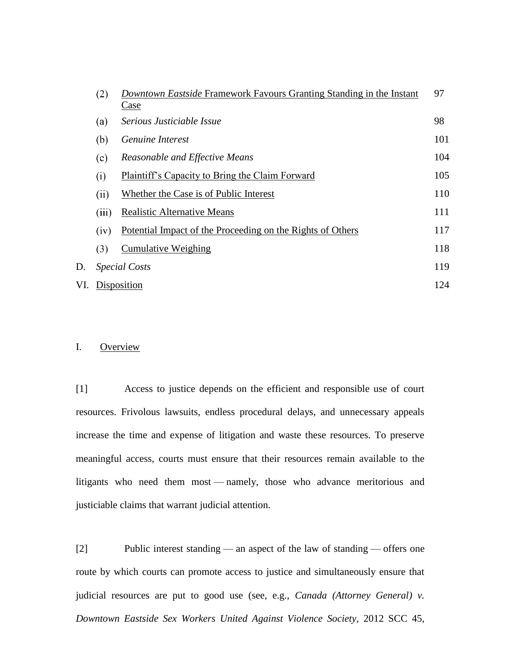|     | (2)         | Downtown Eastside Framework Favours Granting Standing in the Instant<br>Case | 97  |
|-----|-------------|------------------------------------------------------------------------------|-----|
|     | (a)         | Serious Justiciable Issue                                                    | 98  |
|     | (b)         | Genuine Interest                                                             | 101 |
|     | (c)         | Reasonable and Effective Means                                               | 104 |
|     | (i)         | Plaintiff's Capacity to Bring the Claim Forward                              | 105 |
|     | (ii)        | Whether the Case is of Public Interest                                       | 110 |
|     | (iii)       | <b>Realistic Alternative Means</b>                                           | 111 |
|     | (iv)        | Potential Impact of the Proceeding on the Rights of Others                   | 117 |
|     | (3)         | <b>Cumulative Weighing</b>                                                   | 118 |
| D.  |             | <i>Special Costs</i>                                                         | 119 |
| VI. | Disposition |                                                                              |     |

## I. Overview

[1] Access to justice depends on the efficient and responsible use of court resources. Frivolous lawsuits, endless procedural delays, and unnecessary appeals increase the time and expense of litigation and waste these resources. To preserve meaningful access, courts must ensure that their resources remain available to the litigants who need them most — namely, those who advance meritorious and justiciable claims that warrant judicial attention.

[2] Public interest standing — an aspect of the law of standing — offers one route by which courts can promote access to justice and simultaneously ensure that judicial resources are put to good use (see, e.g., *Canada (Attorney General) v. Downtown Eastside Sex Workers United Against Violence Society*, 2012 SCC 45,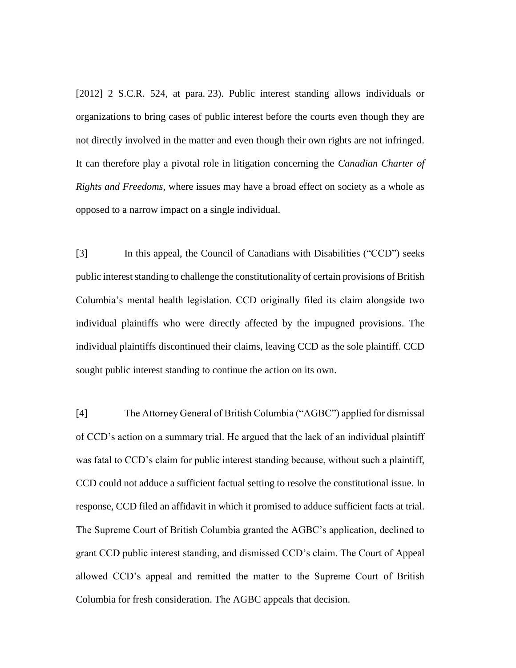[2012] 2 S.C.R. 524, at para. 23). Public interest standing allows individuals or organizations to bring cases of public interest before the courts even though they are not directly involved in the matter and even though their own rights are not infringed. It can therefore play a pivotal role in litigation concerning the *Canadian Charter of Rights and Freedoms*, where issues may have a broad effect on society as a whole as opposed to a narrow impact on a single individual.

[3] In this appeal, the Council of Canadians with Disabilities ("CCD") seeks public interest standing to challenge the constitutionality of certain provisions of British Columbia's mental health legislation. CCD originally filed its claim alongside two individual plaintiffs who were directly affected by the impugned provisions. The individual plaintiffs discontinued their claims, leaving CCD as the sole plaintiff. CCD sought public interest standing to continue the action on its own.

[4] The Attorney General of British Columbia ("AGBC") applied for dismissal of CCD's action on a summary trial. He argued that the lack of an individual plaintiff was fatal to CCD's claim for public interest standing because, without such a plaintiff, CCD could not adduce a sufficient factual setting to resolve the constitutional issue. In response, CCD filed an affidavit in which it promised to adduce sufficient facts at trial. The Supreme Court of British Columbia granted the AGBC's application, declined to grant CCD public interest standing, and dismissed CCD's claim. The Court of Appeal allowed CCD's appeal and remitted the matter to the Supreme Court of British Columbia for fresh consideration. The AGBC appeals that decision.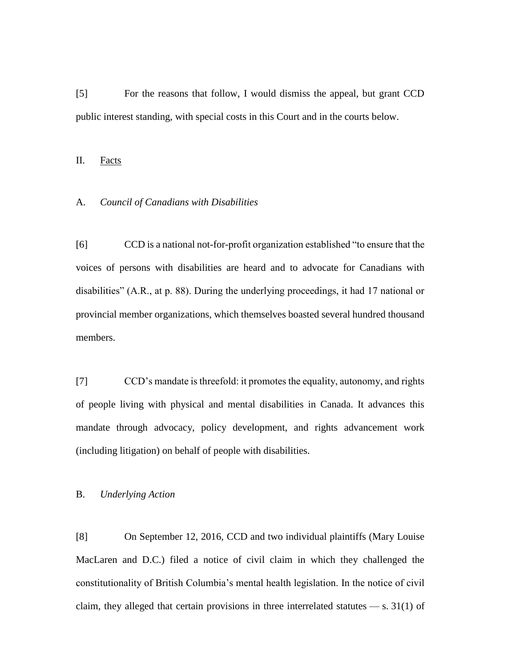[5] For the reasons that follow, I would dismiss the appeal, but grant CCD public interest standing, with special costs in this Court and in the courts below.

II. Facts

### A. *Council of Canadians with Disabilities*

[6] CCD is a national not-for-profit organization established "to ensure that the voices of persons with disabilities are heard and to advocate for Canadians with disabilities" (A.R., at p. 88). During the underlying proceedings, it had 17 national or provincial member organizations, which themselves boasted several hundred thousand members.

[7] CCD's mandate is threefold: it promotes the equality, autonomy, and rights of people living with physical and mental disabilities in Canada. It advances this mandate through advocacy, policy development, and rights advancement work (including litigation) on behalf of people with disabilities.

## B. *Underlying Action*

[8] On September 12, 2016, CCD and two individual plaintiffs (Mary Louise MacLaren and D.C.) filed a notice of civil claim in which they challenged the constitutionality of British Columbia's mental health legislation. In the notice of civil claim, they alleged that certain provisions in three interrelated statutes  $-$  s. 31(1) of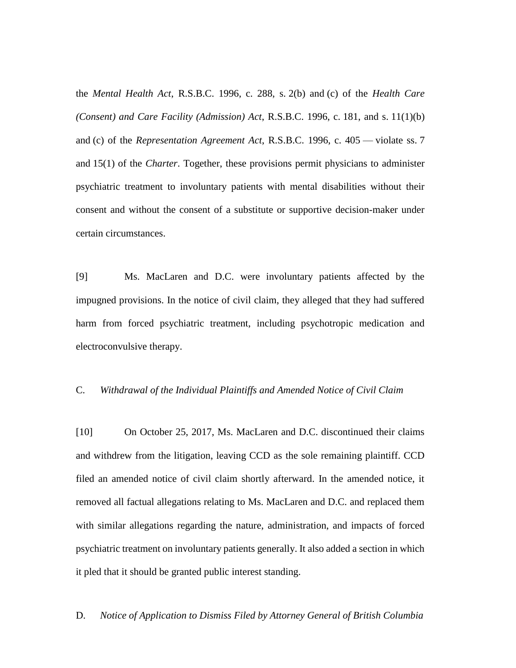the *Mental Health Act*, R.S.B.C. 1996, c. 288, s. 2(b) and (c) of the *Health Care (Consent) and Care Facility (Admission) Act*, R.S.B.C. 1996, c. 181, and s. 11(1)(b) and (c) of the *Representation Agreement Act*, R.S.B.C. 1996, c. 405 — violate ss. 7 and 15(1) of the *Charter*. Together, these provisions permit physicians to administer psychiatric treatment to involuntary patients with mental disabilities without their consent and without the consent of a substitute or supportive decision-maker under certain circumstances.

[9] Ms. MacLaren and D.C. were involuntary patients affected by the impugned provisions. In the notice of civil claim, they alleged that they had suffered harm from forced psychiatric treatment, including psychotropic medication and electroconvulsive therapy.

### C. *Withdrawal of the Individual Plaintiffs and Amended Notice of Civil Claim*

[10] On October 25, 2017, Ms. MacLaren and D.C. discontinued their claims and withdrew from the litigation, leaving CCD as the sole remaining plaintiff. CCD filed an amended notice of civil claim shortly afterward. In the amended notice, it removed all factual allegations relating to Ms. MacLaren and D.C. and replaced them with similar allegations regarding the nature, administration, and impacts of forced psychiatric treatment on involuntary patients generally. It also added a section in which it pled that it should be granted public interest standing.

D. *Notice of Application to Dismiss Filed by Attorney General of British Columbia*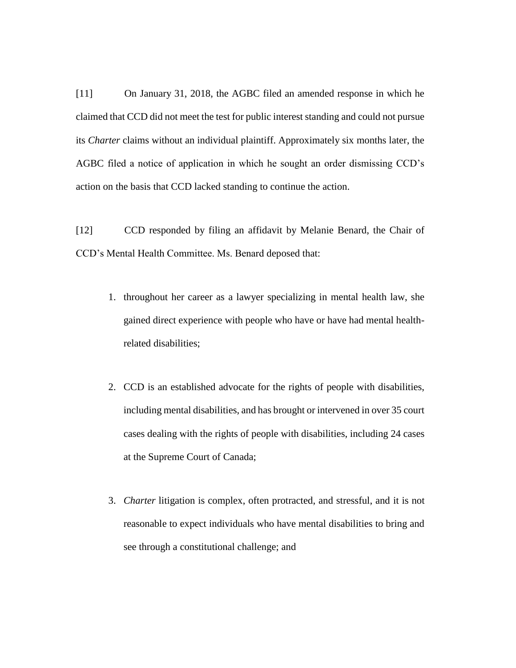[11] On January 31, 2018, the AGBC filed an amended response in which he claimed that CCD did not meet the test for public interest standing and could not pursue its *Charter* claims without an individual plaintiff. Approximately six months later, the AGBC filed a notice of application in which he sought an order dismissing CCD's action on the basis that CCD lacked standing to continue the action.

[12] CCD responded by filing an affidavit by Melanie Benard, the Chair of CCD's Mental Health Committee. Ms. Benard deposed that:

- 1. throughout her career as a lawyer specializing in mental health law, she gained direct experience with people who have or have had mental healthrelated disabilities;
- 2. CCD is an established advocate for the rights of people with disabilities, including mental disabilities, and has brought or intervened in over 35 court cases dealing with the rights of people with disabilities, including 24 cases at the Supreme Court of Canada;
- 3. *Charter* litigation is complex, often protracted, and stressful, and it is not reasonable to expect individuals who have mental disabilities to bring and see through a constitutional challenge; and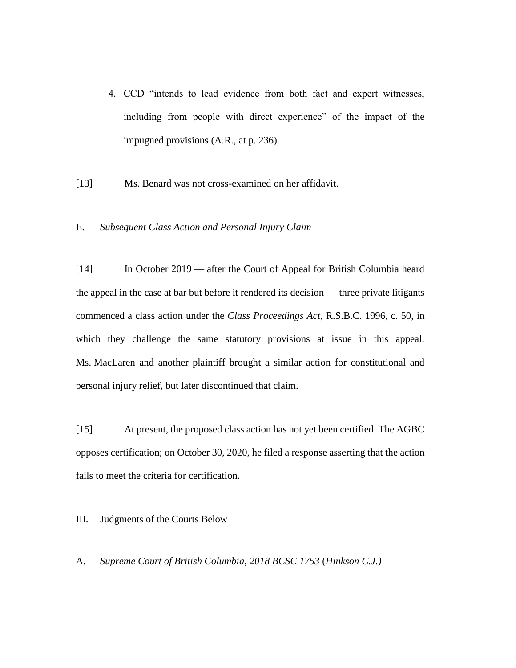4. CCD "intends to lead evidence from both fact and expert witnesses, including from people with direct experience" of the impact of the impugned provisions (A.R., at p. 236).

[13] Ms. Benard was not cross-examined on her affidavit.

# E. *Subsequent Class Action and Personal Injury Claim*

[14] In October 2019 — after the Court of Appeal for British Columbia heard the appeal in the case at bar but before it rendered its decision — three private litigants commenced a class action under the *Class Proceedings Act*, R.S.B.C. 1996, c. 50, in which they challenge the same statutory provisions at issue in this appeal. Ms. MacLaren and another plaintiff brought a similar action for constitutional and personal injury relief, but later discontinued that claim.

[15] At present, the proposed class action has not yet been certified. The AGBC opposes certification; on October 30, 2020, he filed a response asserting that the action fails to meet the criteria for certification.

## III. Judgments of the Courts Below

A. *Supreme Court of British Columbia, 2018 BCSC 1753* (*Hinkson C.J.)*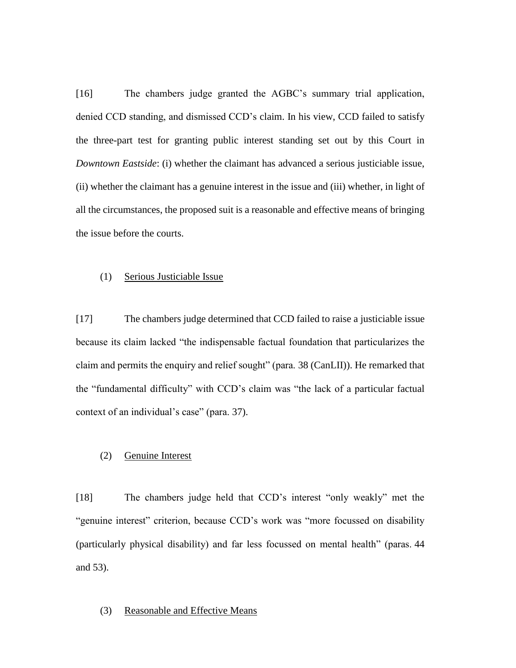[16] The chambers judge granted the AGBC's summary trial application, denied CCD standing, and dismissed CCD's claim. In his view, CCD failed to satisfy the three-part test for granting public interest standing set out by this Court in *Downtown Eastside*: (i) whether the claimant has advanced a serious justiciable issue, (ii) whether the claimant has a genuine interest in the issue and (iii) whether, in light of all the circumstances, the proposed suit is a reasonable and effective means of bringing the issue before the courts.

### (1) Serious Justiciable Issue

[17] The chambers judge determined that CCD failed to raise a justiciable issue because its claim lacked "the indispensable factual foundation that particularizes the claim and permits the enquiry and relief sought" (para. 38 (CanLII)). He remarked that the "fundamental difficulty" with CCD's claim was "the lack of a particular factual context of an individual's case" (para. 37).

## (2) Genuine Interest

[18] The chambers judge held that CCD's interest "only weakly" met the "genuine interest" criterion, because CCD's work was "more focussed on disability (particularly physical disability) and far less focussed on mental health" (paras. 44 and 53).

## (3) Reasonable and Effective Means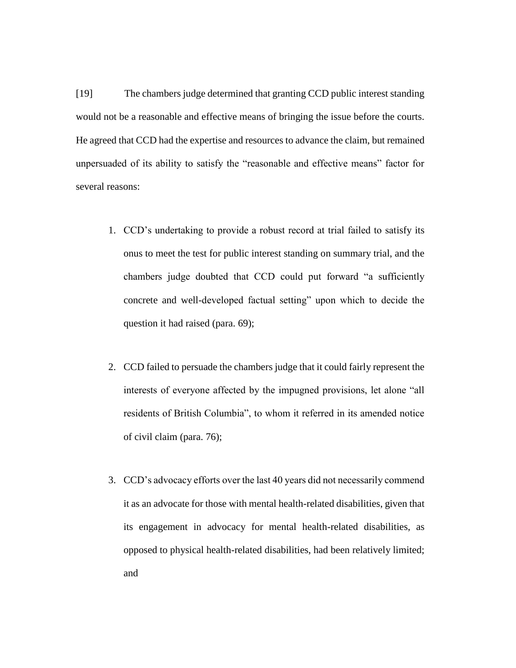[19] The chambers judge determined that granting CCD public interest standing would not be a reasonable and effective means of bringing the issue before the courts. He agreed that CCD had the expertise and resources to advance the claim, but remained unpersuaded of its ability to satisfy the "reasonable and effective means" factor for several reasons:

- 1. CCD's undertaking to provide a robust record at trial failed to satisfy its onus to meet the test for public interest standing on summary trial, and the chambers judge doubted that CCD could put forward "a sufficiently concrete and well-developed factual setting" upon which to decide the question it had raised (para. 69);
- 2. CCD failed to persuade the chambers judge that it could fairly represent the interests of everyone affected by the impugned provisions, let alone "all residents of British Columbia", to whom it referred in its amended notice of civil claim (para. 76);
- 3. CCD's advocacy efforts over the last 40 years did not necessarily commend it as an advocate for those with mental health-related disabilities, given that its engagement in advocacy for mental health-related disabilities, as opposed to physical health-related disabilities, had been relatively limited; and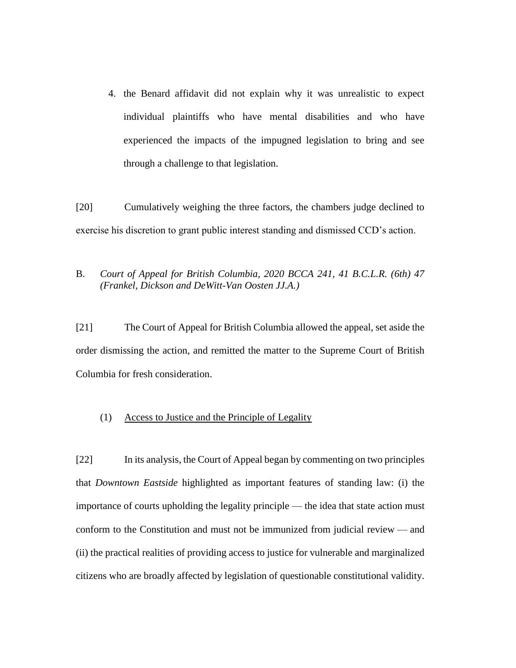4. the Benard affidavit did not explain why it was unrealistic to expect individual plaintiffs who have mental disabilities and who have experienced the impacts of the impugned legislation to bring and see through a challenge to that legislation.

[20] Cumulatively weighing the three factors, the chambers judge declined to exercise his discretion to grant public interest standing and dismissed CCD's action.

# B. *Court of Appeal for British Columbia, 2020 BCCA 241, 41 B.C.L.R. (6th) 47 (Frankel, Dickson and DeWitt-Van Oosten JJ.A.)*

[21] The Court of Appeal for British Columbia allowed the appeal, set aside the order dismissing the action, and remitted the matter to the Supreme Court of British Columbia for fresh consideration.

# (1) Access to Justice and the Principle of Legality

[22] In its analysis, the Court of Appeal began by commenting on two principles that *Downtown Eastside* highlighted as important features of standing law: (i) the importance of courts upholding the legality principle — the idea that state action must conform to the Constitution and must not be immunized from judicial review — and (ii) the practical realities of providing access to justice for vulnerable and marginalized citizens who are broadly affected by legislation of questionable constitutional validity.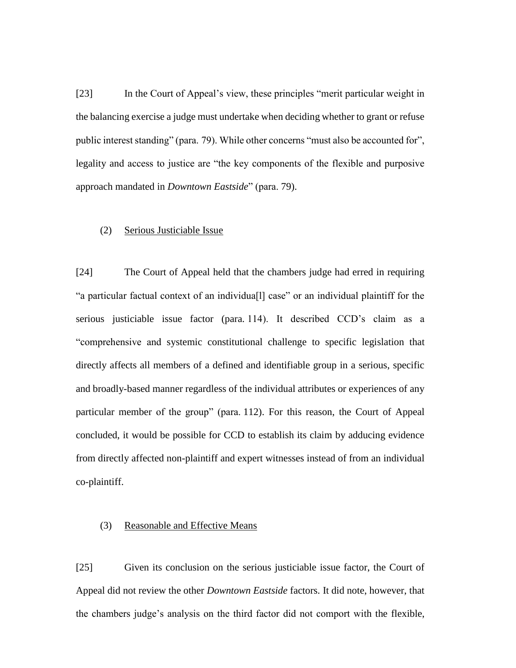[23] In the Court of Appeal's view, these principles "merit particular weight in the balancing exercise a judge must undertake when deciding whether to grant or refuse public interest standing" (para. 79). While other concerns "must also be accounted for", legality and access to justice are "the key components of the flexible and purposive approach mandated in *Downtown Eastside*" (para. 79).

# (2) Serious Justiciable Issue

[24] The Court of Appeal held that the chambers judge had erred in requiring "a particular factual context of an individua[l] case" or an individual plaintiff for the serious justiciable issue factor (para. 114). It described CCD's claim as a "comprehensive and systemic constitutional challenge to specific legislation that directly affects all members of a defined and identifiable group in a serious, specific and broadly-based manner regardless of the individual attributes or experiences of any particular member of the group" (para. 112). For this reason, the Court of Appeal concluded, it would be possible for CCD to establish its claim by adducing evidence from directly affected non-plaintiff and expert witnesses instead of from an individual co-plaintiff.

# (3) Reasonable and Effective Means

[25] Given its conclusion on the serious justiciable issue factor, the Court of Appeal did not review the other *Downtown Eastside* factors. It did note, however, that the chambers judge's analysis on the third factor did not comport with the flexible,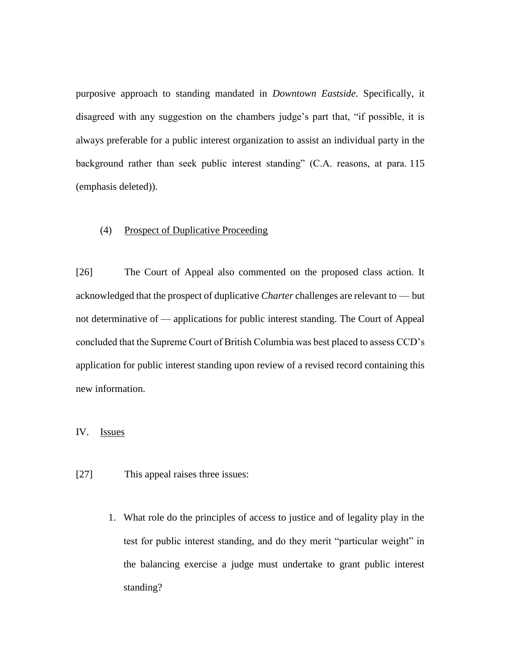purposive approach to standing mandated in *Downtown Eastside*. Specifically, it disagreed with any suggestion on the chambers judge's part that, "if possible, it is always preferable for a public interest organization to assist an individual party in the background rather than seek public interest standing" (C.A. reasons, at para. 115 (emphasis deleted)).

## (4) Prospect of Duplicative Proceeding

[26] The Court of Appeal also commented on the proposed class action. It acknowledged that the prospect of duplicative *Charter* challenges are relevant to — but not determinative of — applications for public interest standing. The Court of Appeal concluded that the Supreme Court of British Columbia was best placed to assess CCD's application for public interest standing upon review of a revised record containing this new information.

## IV. Issues

- [27] This appeal raises three issues:
	- 1. What role do the principles of access to justice and of legality play in the test for public interest standing, and do they merit "particular weight" in the balancing exercise a judge must undertake to grant public interest standing?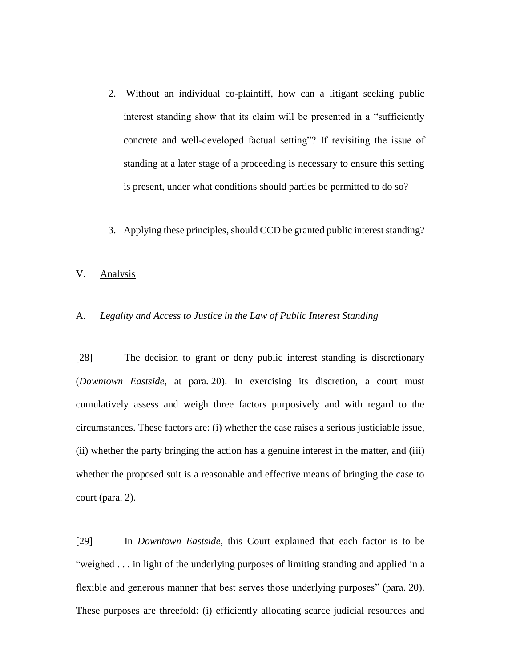- 2. Without an individual co-plaintiff, how can a litigant seeking public interest standing show that its claim will be presented in a "sufficiently concrete and well-developed factual setting"? If revisiting the issue of standing at a later stage of a proceeding is necessary to ensure this setting is present, under what conditions should parties be permitted to do so?
- 3. Applying these principles, should CCD be granted public interest standing?
- V. Analysis

## A. *Legality and Access to Justice in the Law of Public Interest Standing*

[28] The decision to grant or deny public interest standing is discretionary (*Downtown Eastside*, at para. 20). In exercising its discretion, a court must cumulatively assess and weigh three factors purposively and with regard to the circumstances. These factors are: (i) whether the case raises a serious justiciable issue, (ii) whether the party bringing the action has a genuine interest in the matter, and (iii) whether the proposed suit is a reasonable and effective means of bringing the case to court (para. 2).

[29] In *Downtown Eastside*, this Court explained that each factor is to be "weighed . . . in light of the underlying purposes of limiting standing and applied in a flexible and generous manner that best serves those underlying purposes" (para. 20). These purposes are threefold: (i) efficiently allocating scarce judicial resources and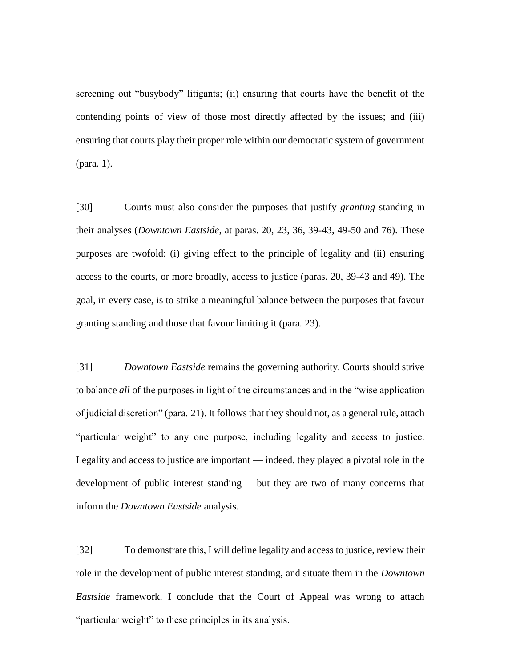screening out "busybody" litigants; (ii) ensuring that courts have the benefit of the contending points of view of those most directly affected by the issues; and (iii) ensuring that courts play their proper role within our democratic system of government (para. 1).

[30] Courts must also consider the purposes that justify *granting* standing in their analyses (*Downtown Eastside*, at paras. 20, 23, 36, 39-43, 49-50 and 76). These purposes are twofold: (i) giving effect to the principle of legality and (ii) ensuring access to the courts, or more broadly, access to justice (paras. 20, 39-43 and 49). The goal, in every case, is to strike a meaningful balance between the purposes that favour granting standing and those that favour limiting it (para. 23).

[31] *Downtown Eastside* remains the governing authority. Courts should strive to balance *all* of the purposes in light of the circumstances and in the "wise application of judicial discretion" (para. 21). It follows that they should not, as a general rule, attach "particular weight" to any one purpose, including legality and access to justice. Legality and access to justice are important — indeed, they played a pivotal role in the development of public interest standing — but they are two of many concerns that inform the *Downtown Eastside* analysis.

[32] To demonstrate this, I will define legality and access to justice, review their role in the development of public interest standing, and situate them in the *Downtown Eastside* framework. I conclude that the Court of Appeal was wrong to attach "particular weight" to these principles in its analysis.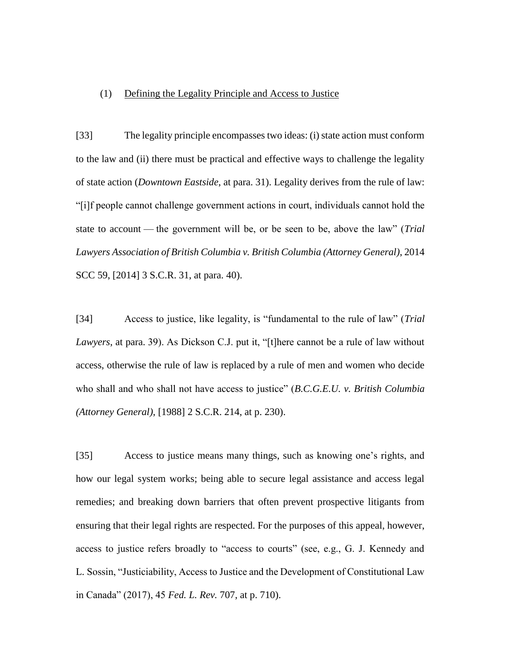### (1) Defining the Legality Principle and Access to Justice

[33] The legality principle encompasses two ideas: (i) state action must conform to the law and (ii) there must be practical and effective ways to challenge the legality of state action (*Downtown Eastside*, at para. 31). Legality derives from the rule of law: "[i]f people cannot challenge government actions in court, individuals cannot hold the state to account — the government will be, or be seen to be, above the law" (*Trial Lawyers Association of British Columbia v. British Columbia (Attorney General)*, 2014 SCC 59, [2014] 3 S.C.R. 31, at para. 40).

[34] Access to justice, like legality, is "fundamental to the rule of law" (*Trial Lawyers*, at para. 39). As Dickson C.J. put it, "[t]here cannot be a rule of law without access, otherwise the rule of law is replaced by a rule of men and women who decide who shall and who shall not have access to justice" (*B.C.G.E.U. v. British Columbia (Attorney General)*, [1988] 2 S.C.R. 214, at p. 230).

[35] Access to justice means many things, such as knowing one's rights, and how our legal system works; being able to secure legal assistance and access legal remedies; and breaking down barriers that often prevent prospective litigants from ensuring that their legal rights are respected. For the purposes of this appeal, however, access to justice refers broadly to "access to courts" (see, e.g., G. J. Kennedy and L. Sossin, "Justiciability, Access to Justice and the Development of Constitutional Law in Canada" (2017), 45 *Fed. L. Rev.* 707, at p. 710).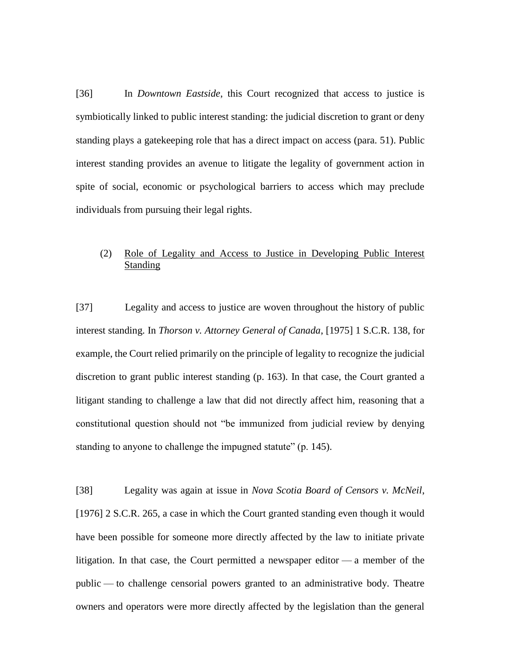[36] In *Downtown Eastside*, this Court recognized that access to justice is symbiotically linked to public interest standing: the judicial discretion to grant or deny standing plays a gatekeeping role that has a direct impact on access (para. 51). Public interest standing provides an avenue to litigate the legality of government action in spite of social, economic or psychological barriers to access which may preclude individuals from pursuing their legal rights.

# (2) Role of Legality and Access to Justice in Developing Public Interest Standing

[37] Legality and access to justice are woven throughout the history of public interest standing. In *Thorson v. Attorney General of Canada*, [1975] 1 S.C.R. 138, for example, the Court relied primarily on the principle of legality to recognize the judicial discretion to grant public interest standing (p. 163). In that case, the Court granted a litigant standing to challenge a law that did not directly affect him, reasoning that a constitutional question should not "be immunized from judicial review by denying standing to anyone to challenge the impugned statute" (p. 145).

[38] Legality was again at issue in *Nova Scotia Board of Censors v. McNeil*, [1976] 2 S.C.R. 265, a case in which the Court granted standing even though it would have been possible for someone more directly affected by the law to initiate private litigation. In that case, the Court permitted a newspaper editor — a member of the public — to challenge censorial powers granted to an administrative body. Theatre owners and operators were more directly affected by the legislation than the general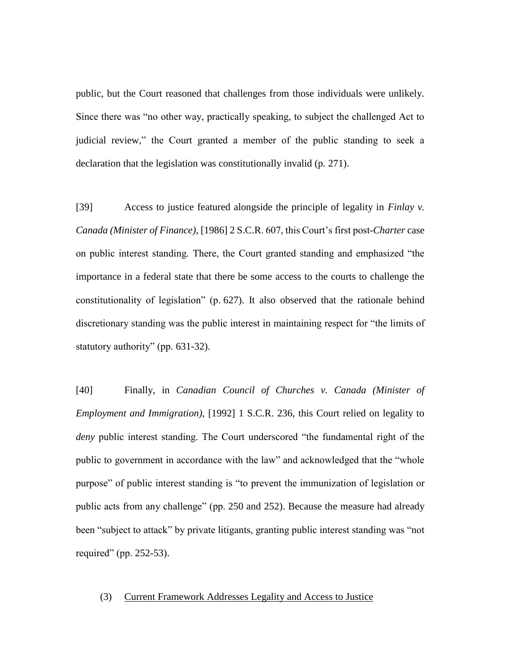public, but the Court reasoned that challenges from those individuals were unlikely. Since there was "no other way, practically speaking, to subject the challenged Act to judicial review," the Court granted a member of the public standing to seek a declaration that the legislation was constitutionally invalid (p. 271).

[39] Access to justice featured alongside the principle of legality in *Finlay v. Canada (Minister of Finance)*, [1986] 2 S.C.R. 607, this Court's first post-*Charter* case on public interest standing. There, the Court granted standing and emphasized "the importance in a federal state that there be some access to the courts to challenge the constitutionality of legislation" (p. 627). It also observed that the rationale behind discretionary standing was the public interest in maintaining respect for "the limits of statutory authority" (pp. 631-32).

[40] Finally, in *Canadian Council of Churches v. Canada (Minister of Employment and Immigration)*, [1992] 1 S.C.R. 236, this Court relied on legality to *deny* public interest standing. The Court underscored "the fundamental right of the public to government in accordance with the law" and acknowledged that the "whole purpose" of public interest standing is "to prevent the immunization of legislation or public acts from any challenge" (pp. 250 and 252). Because the measure had already been "subject to attack" by private litigants, granting public interest standing was "not required" (pp. 252-53).

## (3) Current Framework Addresses Legality and Access to Justice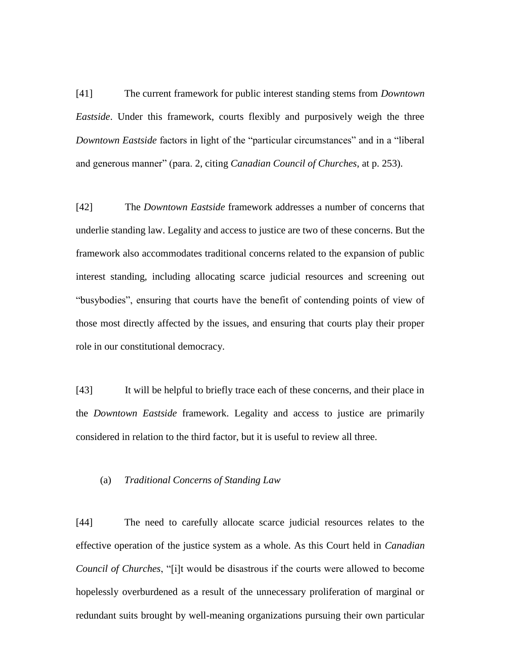[41] The current framework for public interest standing stems from *Downtown Eastside*. Under this framework, courts flexibly and purposively weigh the three *Downtown Eastside* factors in light of the "particular circumstances" and in a "liberal and generous manner" (para. 2, citing *Canadian Council of Churches*, at p. 253).

[42] The *Downtown Eastside* framework addresses a number of concerns that underlie standing law. Legality and access to justice are two of these concerns. But the framework also accommodates traditional concerns related to the expansion of public interest standing, including allocating scarce judicial resources and screening out "busybodies", ensuring that courts have the benefit of contending points of view of those most directly affected by the issues, and ensuring that courts play their proper role in our constitutional democracy.

[43] It will be helpful to briefly trace each of these concerns, and their place in the *Downtown Eastside* framework. Legality and access to justice are primarily considered in relation to the third factor, but it is useful to review all three.

## (a) *Traditional Concerns of Standing Law*

[44] The need to carefully allocate scarce judicial resources relates to the effective operation of the justice system as a whole. As this Court held in *Canadian Council of Churches*, "[i]t would be disastrous if the courts were allowed to become hopelessly overburdened as a result of the unnecessary proliferation of marginal or redundant suits brought by well-meaning organizations pursuing their own particular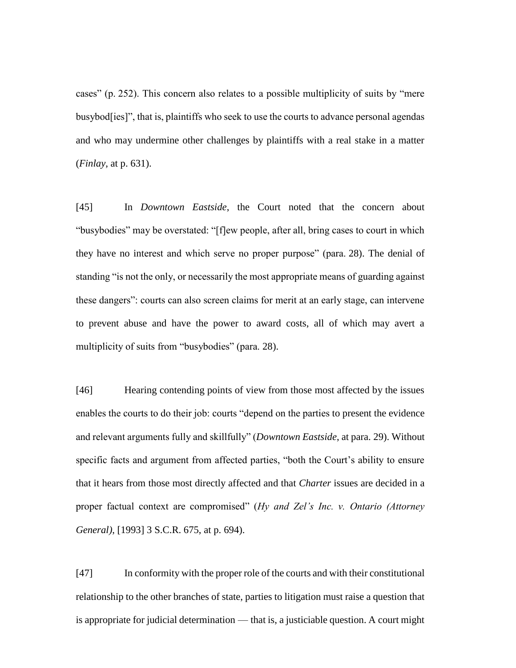cases" (p. 252). This concern also relates to a possible multiplicity of suits by "mere busybod[ies]", that is, plaintiffs who seek to use the courts to advance personal agendas and who may undermine other challenges by plaintiffs with a real stake in a matter (*Finlay*, at p. 631).

[45] In *Downtown Eastside*, the Court noted that the concern about "busybodies" may be overstated: "[f]ew people, after all, bring cases to court in which they have no interest and which serve no proper purpose" (para. 28). The denial of standing "is not the only, or necessarily the most appropriate means of guarding against these dangers": courts can also screen claims for merit at an early stage, can intervene to prevent abuse and have the power to award costs, all of which may avert a multiplicity of suits from "busybodies" (para. 28).

[46] Hearing contending points of view from those most affected by the issues enables the courts to do their job: courts "depend on the parties to present the evidence and relevant arguments fully and skillfully" (*Downtown Eastside*, at para. 29). Without specific facts and argument from affected parties, "both the Court's ability to ensure that it hears from those most directly affected and that *Charter* issues are decided in a proper factual context are compromised" (*Hy and Zel's Inc. v. Ontario (Attorney General)*, [1993] 3 S.C.R. 675, at p. 694).

[47] In conformity with the proper role of the courts and with their constitutional relationship to the other branches of state, parties to litigation must raise a question that is appropriate for judicial determination — that is, a justiciable question. A court might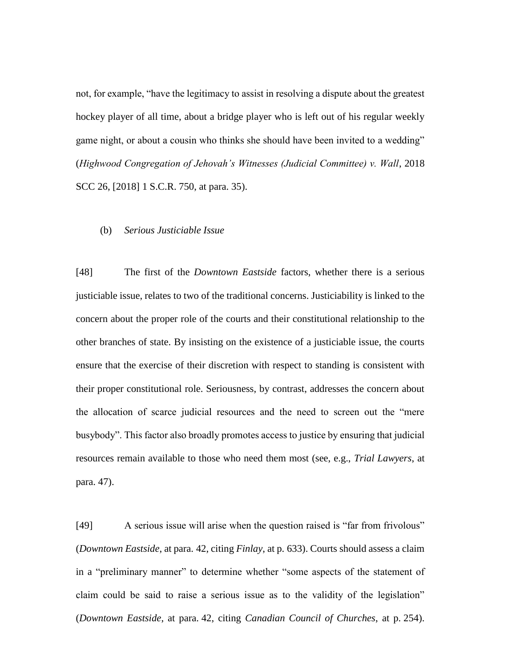not, for example, "have the legitimacy to assist in resolving a dispute about the greatest hockey player of all time, about a bridge player who is left out of his regular weekly game night, or about a cousin who thinks she should have been invited to a wedding" (*Highwood Congregation of Jehovah's Witnesses (Judicial Committee) v. Wall*, 2018 SCC 26, [2018] 1 S.C.R. 750, at para. 35).

### (b) *Serious Justiciable Issue*

[48] The first of the *Downtown Eastside* factors, whether there is a serious justiciable issue, relates to two of the traditional concerns. Justiciability is linked to the concern about the proper role of the courts and their constitutional relationship to the other branches of state. By insisting on the existence of a justiciable issue, the courts ensure that the exercise of their discretion with respect to standing is consistent with their proper constitutional role. Seriousness, by contrast, addresses the concern about the allocation of scarce judicial resources and the need to screen out the "mere busybody". This factor also broadly promotes access to justice by ensuring that judicial resources remain available to those who need them most (see, e.g., *Trial Lawyers*, at para. 47).

[49] A serious issue will arise when the question raised is "far from frivolous" (*Downtown Eastside*, at para. 42, citing *Finlay*, at p. 633). Courts should assess a claim in a "preliminary manner" to determine whether "some aspects of the statement of claim could be said to raise a serious issue as to the validity of the legislation" (*Downtown Eastside*, at para. 42, citing *Canadian Council of Churches*, at p. 254).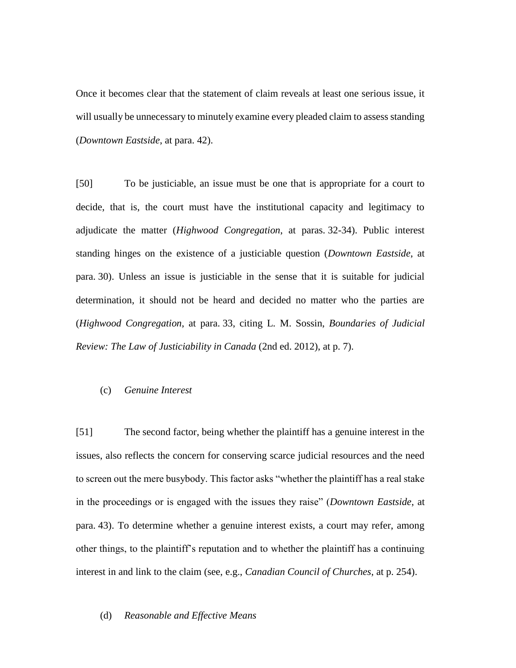Once it becomes clear that the statement of claim reveals at least one serious issue, it will usually be unnecessary to minutely examine every pleaded claim to assess standing (*Downtown Eastside*, at para. 42).

[50] To be justiciable, an issue must be one that is appropriate for a court to decide, that is, the court must have the institutional capacity and legitimacy to adjudicate the matter (*Highwood Congregation*, at paras. 32-34). Public interest standing hinges on the existence of a justiciable question (*Downtown Eastside*, at para. 30). Unless an issue is justiciable in the sense that it is suitable for judicial determination, it should not be heard and decided no matter who the parties are (*Highwood Congregation*, at para. 33, citing L. M. Sossin, *Boundaries of Judicial Review: The Law of Justiciability in Canada* (2nd ed. 2012), at p. 7).

# (c) *Genuine Interest*

[51] The second factor, being whether the plaintiff has a genuine interest in the issues, also reflects the concern for conserving scarce judicial resources and the need to screen out the mere busybody. This factor asks "whether the plaintiff has a real stake in the proceedings or is engaged with the issues they raise" (*Downtown Eastside*, at para. 43). To determine whether a genuine interest exists, a court may refer, among other things, to the plaintiff's reputation and to whether the plaintiff has a continuing interest in and link to the claim (see, e.g., *Canadian Council of Churches*, at p. 254).

#### (d) *Reasonable and Effective Means*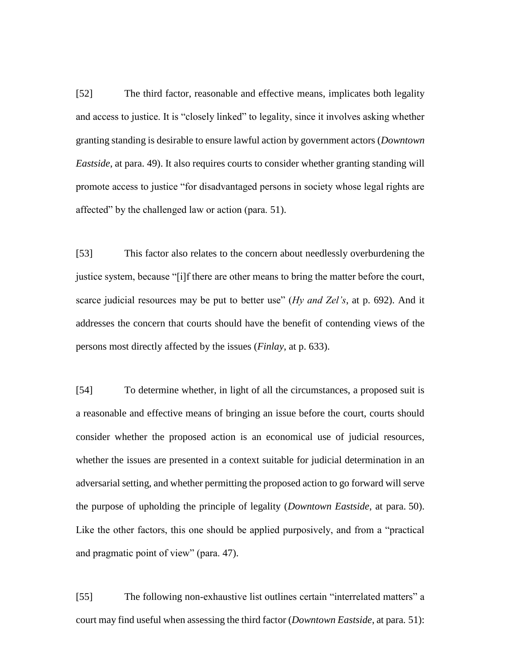[52] The third factor, reasonable and effective means, implicates both legality and access to justice. It is "closely linked" to legality, since it involves asking whether granting standing is desirable to ensure lawful action by government actors (*Downtown Eastside*, at para. 49). It also requires courts to consider whether granting standing will promote access to justice "for disadvantaged persons in society whose legal rights are affected" by the challenged law or action (para. 51).

[53] This factor also relates to the concern about needlessly overburdening the justice system, because "[i]f there are other means to bring the matter before the court, scarce judicial resources may be put to better use" (*Hy and Zel's*, at p. 692). And it addresses the concern that courts should have the benefit of contending views of the persons most directly affected by the issues (*Finlay*, at p. 633).

[54] To determine whether, in light of all the circumstances, a proposed suit is a reasonable and effective means of bringing an issue before the court, courts should consider whether the proposed action is an economical use of judicial resources, whether the issues are presented in a context suitable for judicial determination in an adversarial setting, and whether permitting the proposed action to go forward will serve the purpose of upholding the principle of legality (*Downtown Eastside*, at para. 50). Like the other factors, this one should be applied purposively, and from a "practical and pragmatic point of view" (para. 47).

[55] The following non-exhaustive list outlines certain "interrelated matters" a court may find useful when assessing the third factor (*Downtown Eastside*, at para. 51):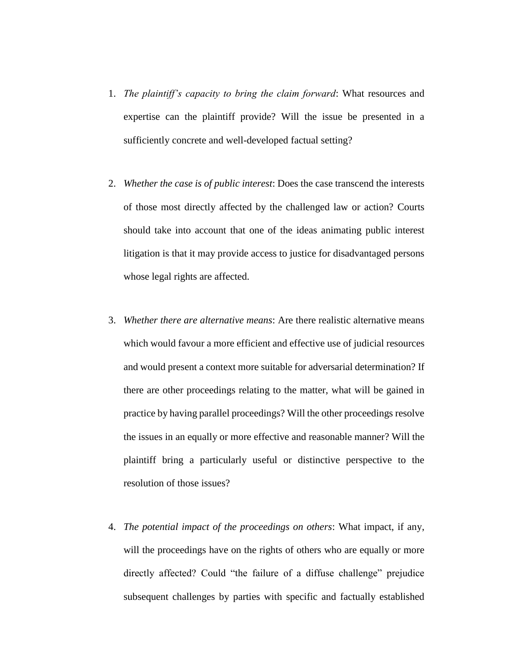- 1. *The plaintiff's capacity to bring the claim forward*: What resources and expertise can the plaintiff provide? Will the issue be presented in a sufficiently concrete and well-developed factual setting?
- 2. *Whether the case is of public interest*: Does the case transcend the interests of those most directly affected by the challenged law or action? Courts should take into account that one of the ideas animating public interest litigation is that it may provide access to justice for disadvantaged persons whose legal rights are affected.
- 3. *Whether there are alternative means*: Are there realistic alternative means which would favour a more efficient and effective use of judicial resources and would present a context more suitable for adversarial determination? If there are other proceedings relating to the matter, what will be gained in practice by having parallel proceedings? Will the other proceedings resolve the issues in an equally or more effective and reasonable manner? Will the plaintiff bring a particularly useful or distinctive perspective to the resolution of those issues?
- 4. *The potential impact of the proceedings on others*: What impact, if any, will the proceedings have on the rights of others who are equally or more directly affected? Could "the failure of a diffuse challenge" prejudice subsequent challenges by parties with specific and factually established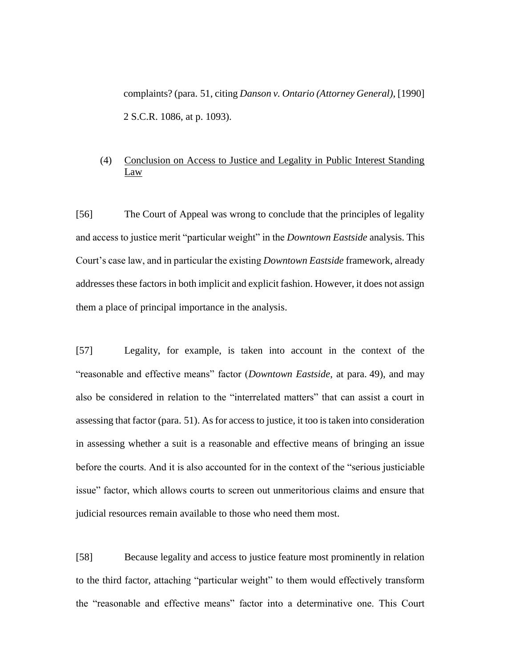complaints? (para. 51, citing *Danson v. Ontario (Attorney General)*, [1990] 2 S.C.R. 1086, at p. 1093).

# (4) Conclusion on Access to Justice and Legality in Public Interest Standing Law

[56] The Court of Appeal was wrong to conclude that the principles of legality and access to justice merit "particular weight" in the *Downtown Eastside* analysis. This Court's case law, and in particular the existing *Downtown Eastside* framework, already addresses these factors in both implicit and explicit fashion. However, it does not assign them a place of principal importance in the analysis.

[57] Legality, for example, is taken into account in the context of the "reasonable and effective means" factor (*Downtown Eastside*, at para. 49), and may also be considered in relation to the "interrelated matters" that can assist a court in assessing that factor (para. 51). As for access to justice, it too is taken into consideration in assessing whether a suit is a reasonable and effective means of bringing an issue before the courts. And it is also accounted for in the context of the "serious justiciable issue" factor, which allows courts to screen out unmeritorious claims and ensure that judicial resources remain available to those who need them most.

[58] Because legality and access to justice feature most prominently in relation to the third factor, attaching "particular weight" to them would effectively transform the "reasonable and effective means" factor into a determinative one. This Court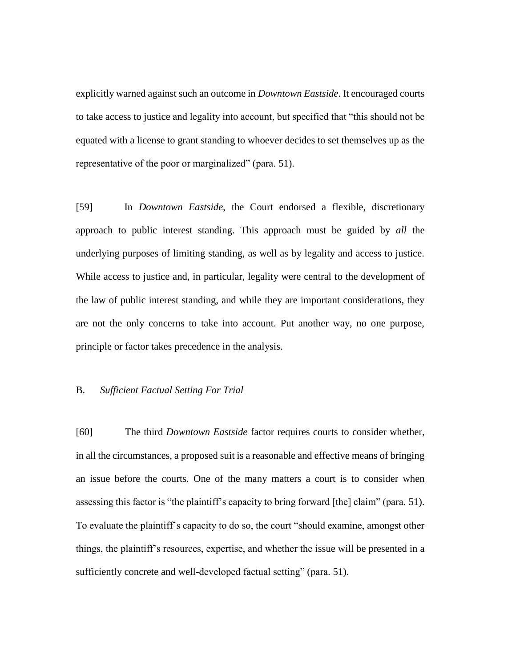explicitly warned against such an outcome in *Downtown Eastside*. It encouraged courts to take access to justice and legality into account, but specified that "this should not be equated with a license to grant standing to whoever decides to set themselves up as the representative of the poor or marginalized" (para. 51).

[59] In *Downtown Eastside*, the Court endorsed a flexible, discretionary approach to public interest standing. This approach must be guided by *all* the underlying purposes of limiting standing, as well as by legality and access to justice. While access to justice and, in particular, legality were central to the development of the law of public interest standing, and while they are important considerations, they are not the only concerns to take into account. Put another way, no one purpose, principle or factor takes precedence in the analysis.

## B. *Sufficient Factual Setting For Trial*

[60] The third *Downtown Eastside* factor requires courts to consider whether, in all the circumstances, a proposed suit is a reasonable and effective means of bringing an issue before the courts. One of the many matters a court is to consider when assessing this factor is "the plaintiff's capacity to bring forward [the] claim" (para. 51). To evaluate the plaintiff's capacity to do so, the court "should examine, amongst other things, the plaintiff's resources, expertise, and whether the issue will be presented in a sufficiently concrete and well-developed factual setting" (para. 51).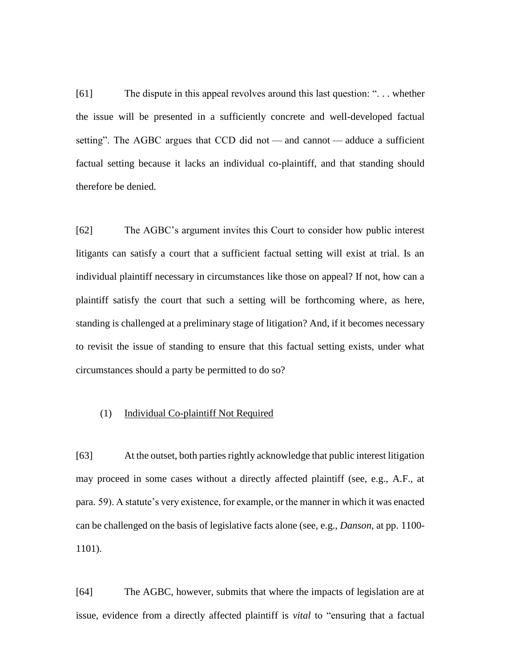[61] The dispute in this appeal revolves around this last question: ". . . whether the issue will be presented in a sufficiently concrete and well-developed factual setting". The AGBC argues that CCD did not — and cannot — adduce a sufficient factual setting because it lacks an individual co-plaintiff, and that standing should therefore be denied.

[62] The AGBC's argument invites this Court to consider how public interest litigants can satisfy a court that a sufficient factual setting will exist at trial. Is an individual plaintiff necessary in circumstances like those on appeal? If not, how can a plaintiff satisfy the court that such a setting will be forthcoming where, as here, standing is challenged at a preliminary stage of litigation? And, if it becomes necessary to revisit the issue of standing to ensure that this factual setting exists, under what circumstances should a party be permitted to do so?

### (1) Individual Co-plaintiff Not Required

[63] At the outset, both parties rightly acknowledge that public interest litigation may proceed in some cases without a directly affected plaintiff (see, e.g., A.F., at para. 59). A statute's very existence, for example, or the manner in which it was enacted can be challenged on the basis of legislative facts alone (see, e.g., *Danson*, at pp. 1100- 1101).

[64] The AGBC, however, submits that where the impacts of legislation are at issue, evidence from a directly affected plaintiff is *vital* to "ensuring that a factual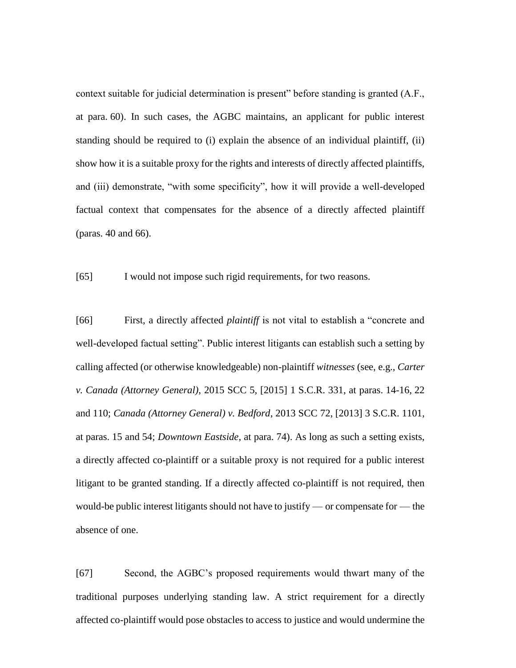context suitable for judicial determination is present" before standing is granted (A.F., at para. 60). In such cases, the AGBC maintains, an applicant for public interest standing should be required to (i) explain the absence of an individual plaintiff, (ii) show how it is a suitable proxy for the rights and interests of directly affected plaintiffs, and (iii) demonstrate, "with some specificity", how it will provide a well-developed factual context that compensates for the absence of a directly affected plaintiff (paras. 40 and 66).

[65] I would not impose such rigid requirements, for two reasons.

[66] First, a directly affected *plaintiff* is not vital to establish a "concrete and well-developed factual setting". Public interest litigants can establish such a setting by calling affected (or otherwise knowledgeable) non-plaintiff *witnesses* (see, e.g., *Carter v. Canada (Attorney General)*, 2015 SCC 5, [2015] 1 S.C.R. 331, at paras. 14-16, 22 and 110; *Canada (Attorney General) v. Bedford*, 2013 SCC 72, [2013] 3 S.C.R. 1101, at paras. 15 and 54; *Downtown Eastside*, at para. 74). As long as such a setting exists, a directly affected co-plaintiff or a suitable proxy is not required for a public interest litigant to be granted standing. If a directly affected co-plaintiff is not required, then would-be public interest litigants should not have to justify — or compensate for — the absence of one.

[67] Second, the AGBC's proposed requirements would thwart many of the traditional purposes underlying standing law. A strict requirement for a directly affected co-plaintiff would pose obstacles to access to justice and would undermine the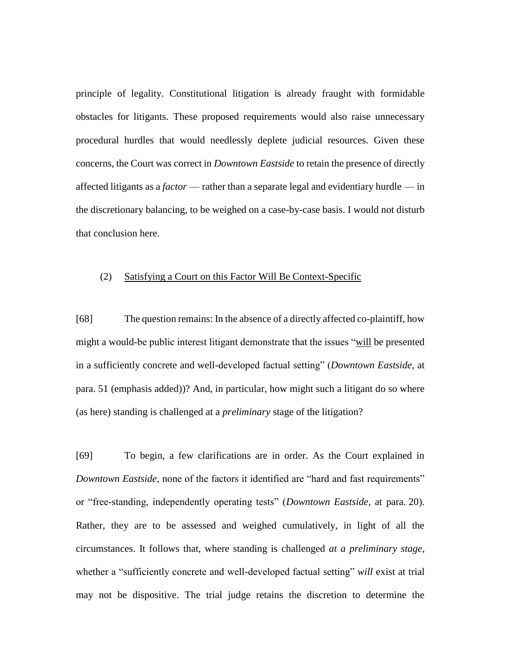principle of legality. Constitutional litigation is already fraught with formidable obstacles for litigants. These proposed requirements would also raise unnecessary procedural hurdles that would needlessly deplete judicial resources. Given these concerns, the Court was correct in *Downtown Eastside* to retain the presence of directly affected litigants as a *factor* — rather than a separate legal and evidentiary hurdle — in the discretionary balancing, to be weighed on a case-by-case basis. I would not disturb that conclusion here.

### (2) Satisfying a Court on this Factor Will Be Context-Specific

[68] The question remains: In the absence of a directly affected co-plaintiff, how might a would-be public interest litigant demonstrate that the issues "will be presented in a sufficiently concrete and well-developed factual setting" (*Downtown Eastside*, at para. 51 (emphasis added))? And, in particular, how might such a litigant do so where (as here) standing is challenged at a *preliminary* stage of the litigation?

[69] To begin, a few clarifications are in order. As the Court explained in *Downtown Eastside*, none of the factors it identified are "hard and fast requirements" or "free-standing, independently operating tests" (*Downtown Eastside*, at para. 20). Rather, they are to be assessed and weighed cumulatively, in light of all the circumstances. It follows that, where standing is challenged *at a preliminary stage*, whether a "sufficiently concrete and well-developed factual setting" *will* exist at trial may not be dispositive. The trial judge retains the discretion to determine the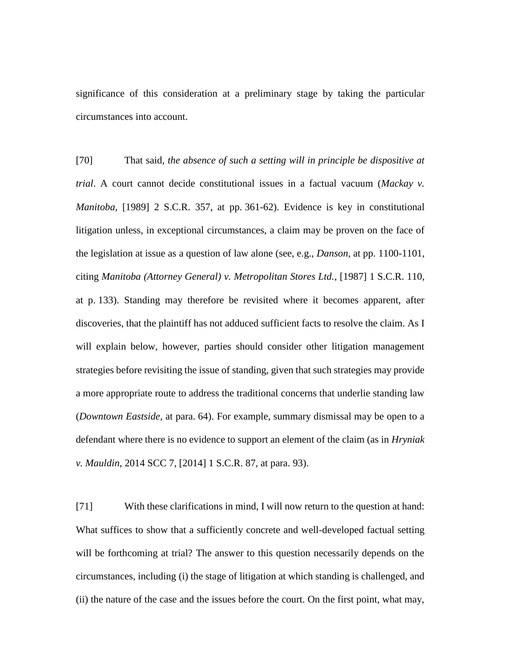significance of this consideration at a preliminary stage by taking the particular circumstances into account.

[70] That said, *the absence of such a setting will in principle be dispositive at trial*. A court cannot decide constitutional issues in a factual vacuum (*Mackay v. Manitoba*, [1989] 2 S.C.R. 357, at pp. 361-62). Evidence is key in constitutional litigation unless, in exceptional circumstances, a claim may be proven on the face of the legislation at issue as a question of law alone (see, e.g., *Danson*, at pp. 1100-1101, citing *Manitoba (Attorney General) v. Metropolitan Stores Ltd.*, [1987] 1 S.C.R. 110, at p. 133). Standing may therefore be revisited where it becomes apparent, after discoveries, that the plaintiff has not adduced sufficient facts to resolve the claim. As I will explain below, however, parties should consider other litigation management strategies before revisiting the issue of standing, given that such strategies may provide a more appropriate route to address the traditional concerns that underlie standing law (*Downtown Eastside*, at para. 64). For example, summary dismissal may be open to a defendant where there is no evidence to support an element of the claim (as in *Hryniak v. Mauldin*, 2014 SCC 7, [2014] 1 S.C.R. 87, at para. 93).

[71] With these clarifications in mind, I will now return to the question at hand: What suffices to show that a sufficiently concrete and well-developed factual setting will be forthcoming at trial? The answer to this question necessarily depends on the circumstances, including (i) the stage of litigation at which standing is challenged, and (ii) the nature of the case and the issues before the court. On the first point, what may,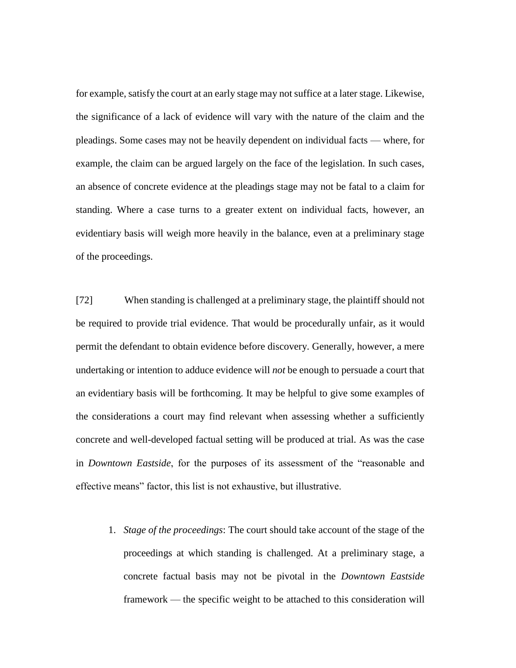for example, satisfy the court at an early stage may not suffice at a later stage. Likewise, the significance of a lack of evidence will vary with the nature of the claim and the pleadings. Some cases may not be heavily dependent on individual facts — where, for example, the claim can be argued largely on the face of the legislation. In such cases, an absence of concrete evidence at the pleadings stage may not be fatal to a claim for standing. Where a case turns to a greater extent on individual facts, however, an evidentiary basis will weigh more heavily in the balance, even at a preliminary stage of the proceedings.

[72] When standing is challenged at a preliminary stage, the plaintiff should not be required to provide trial evidence. That would be procedurally unfair, as it would permit the defendant to obtain evidence before discovery. Generally, however, a mere undertaking or intention to adduce evidence will *not* be enough to persuade a court that an evidentiary basis will be forthcoming. It may be helpful to give some examples of the considerations a court may find relevant when assessing whether a sufficiently concrete and well-developed factual setting will be produced at trial. As was the case in *Downtown Eastside*, for the purposes of its assessment of the "reasonable and effective means" factor, this list is not exhaustive, but illustrative.

1. *Stage of the proceedings*: The court should take account of the stage of the proceedings at which standing is challenged. At a preliminary stage, a concrete factual basis may not be pivotal in the *Downtown Eastside* framework — the specific weight to be attached to this consideration will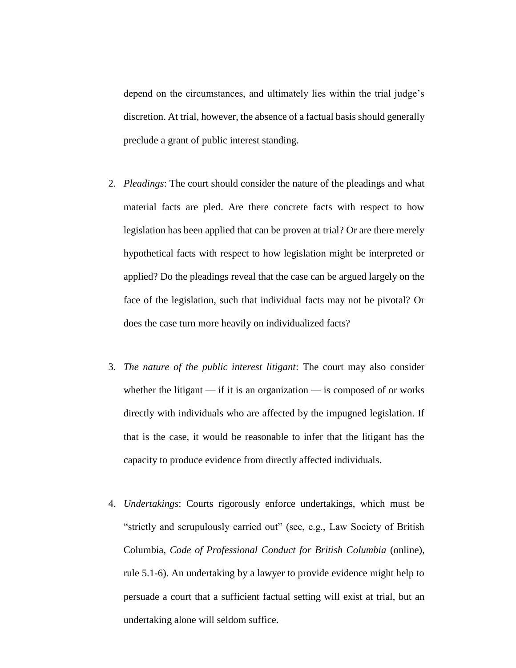depend on the circumstances, and ultimately lies within the trial judge's discretion. At trial, however, the absence of a factual basis should generally preclude a grant of public interest standing.

- 2. *Pleadings*: The court should consider the nature of the pleadings and what material facts are pled. Are there concrete facts with respect to how legislation has been applied that can be proven at trial? Or are there merely hypothetical facts with respect to how legislation might be interpreted or applied? Do the pleadings reveal that the case can be argued largely on the face of the legislation, such that individual facts may not be pivotal? Or does the case turn more heavily on individualized facts?
- 3. *The nature of the public interest litigant*: The court may also consider whether the litigant — if it is an organization — is composed of or works directly with individuals who are affected by the impugned legislation. If that is the case, it would be reasonable to infer that the litigant has the capacity to produce evidence from directly affected individuals.
- 4. *Undertakings*: Courts rigorously enforce undertakings, which must be "strictly and scrupulously carried out" (see, e.g., Law Society of British Columbia, *Code of Professional Conduct for British Columbia* (online), rule 5.1-6). An undertaking by a lawyer to provide evidence might help to persuade a court that a sufficient factual setting will exist at trial, but an undertaking alone will seldom suffice.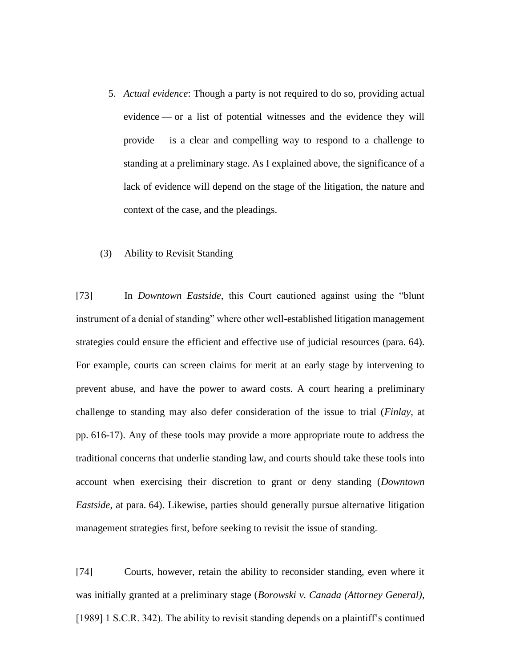5. *Actual evidence*: Though a party is not required to do so, providing actual evidence — or a list of potential witnesses and the evidence they will provide — is a clear and compelling way to respond to a challenge to standing at a preliminary stage. As I explained above, the significance of a lack of evidence will depend on the stage of the litigation, the nature and context of the case, and the pleadings.

#### (3) Ability to Revisit Standing

[73] In *Downtown Eastside*, this Court cautioned against using the "blunt instrument of a denial of standing" where other well-established litigation management strategies could ensure the efficient and effective use of judicial resources (para. 64). For example, courts can screen claims for merit at an early stage by intervening to prevent abuse, and have the power to award costs. A court hearing a preliminary challenge to standing may also defer consideration of the issue to trial (*Finlay*, at pp. 616-17). Any of these tools may provide a more appropriate route to address the traditional concerns that underlie standing law, and courts should take these tools into account when exercising their discretion to grant or deny standing (*Downtown Eastside*, at para. 64). Likewise, parties should generally pursue alternative litigation management strategies first, before seeking to revisit the issue of standing.

[74] Courts, however, retain the ability to reconsider standing, even where it was initially granted at a preliminary stage (*Borowski v. Canada (Attorney General)*, [1989] 1 S.C.R. 342). The ability to revisit standing depends on a plaintiff's continued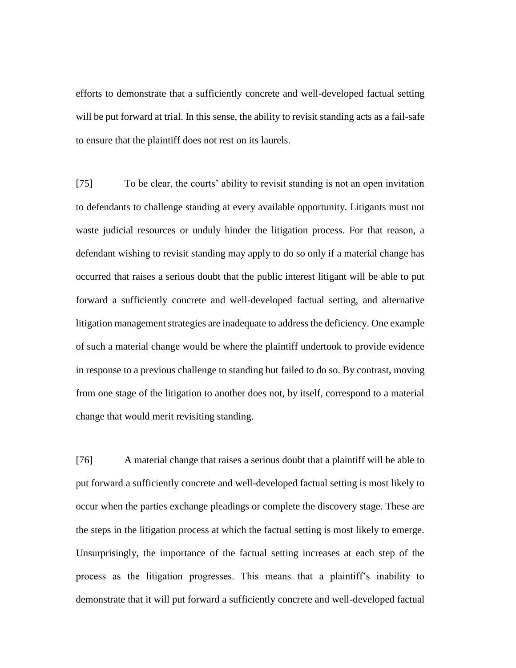efforts to demonstrate that a sufficiently concrete and well-developed factual setting will be put forward at trial. In this sense, the ability to revisit standing acts as a fail-safe to ensure that the plaintiff does not rest on its laurels.

[75] To be clear, the courts' ability to revisit standing is not an open invitation to defendants to challenge standing at every available opportunity. Litigants must not waste judicial resources or unduly hinder the litigation process. For that reason, a defendant wishing to revisit standing may apply to do so only if a material change has occurred that raises a serious doubt that the public interest litigant will be able to put forward a sufficiently concrete and well-developed factual setting, and alternative litigation management strategies are inadequate to address the deficiency. One example of such a material change would be where the plaintiff undertook to provide evidence in response to a previous challenge to standing but failed to do so. By contrast, moving from one stage of the litigation to another does not, by itself, correspond to a material change that would merit revisiting standing.

[76] A material change that raises a serious doubt that a plaintiff will be able to put forward a sufficiently concrete and well-developed factual setting is most likely to occur when the parties exchange pleadings or complete the discovery stage. These are the steps in the litigation process at which the factual setting is most likely to emerge. Unsurprisingly, the importance of the factual setting increases at each step of the process as the litigation progresses. This means that a plaintiff's inability to demonstrate that it will put forward a sufficiently concrete and well-developed factual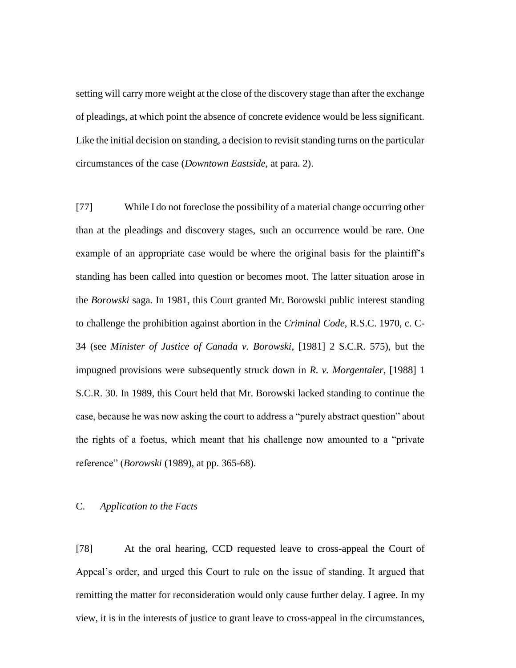setting will carry more weight at the close of the discovery stage than after the exchange of pleadings, at which point the absence of concrete evidence would be less significant. Like the initial decision on standing, a decision to revisit standing turns on the particular circumstances of the case (*Downtown Eastside*, at para. 2).

[77] While I do not foreclose the possibility of a material change occurring other than at the pleadings and discovery stages, such an occurrence would be rare. One example of an appropriate case would be where the original basis for the plaintiff's standing has been called into question or becomes moot. The latter situation arose in the *Borowski* saga. In 1981, this Court granted Mr. Borowski public interest standing to challenge the prohibition against abortion in the *Criminal Code*, R.S.C. 1970, c. C-34 (see *Minister of Justice of Canada v. Borowski*, [1981] 2 S.C.R. 575), but the impugned provisions were subsequently struck down in *R. v. Morgentaler*, [1988] 1 S.C.R. 30. In 1989, this Court held that Mr. Borowski lacked standing to continue the case, because he was now asking the court to address a "purely abstract question" about the rights of a foetus, which meant that his challenge now amounted to a "private reference" (*Borowski* (1989), at pp. 365-68).

# C. *Application to the Facts*

[78] At the oral hearing, CCD requested leave to cross-appeal the Court of Appeal's order, and urged this Court to rule on the issue of standing. It argued that remitting the matter for reconsideration would only cause further delay. I agree. In my view, it is in the interests of justice to grant leave to cross-appeal in the circumstances,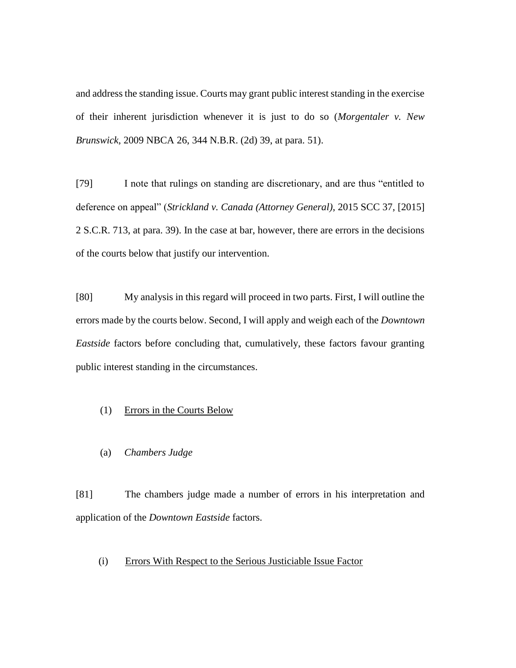and address the standing issue. Courts may grant public interest standing in the exercise of their inherent jurisdiction whenever it is just to do so (*Morgentaler v. New Brunswick*, 2009 NBCA 26, 344 N.B.R. (2d) 39, at para. 51).

[79] I note that rulings on standing are discretionary, and are thus "entitled to deference on appeal" (*Strickland v. Canada (Attorney General)*, 2015 SCC 37, [2015] 2 S.C.R. 713, at para. 39). In the case at bar, however, there are errors in the decisions of the courts below that justify our intervention.

[80] My analysis in this regard will proceed in two parts. First, I will outline the errors made by the courts below. Second, I will apply and weigh each of the *Downtown Eastside* factors before concluding that, cumulatively, these factors favour granting public interest standing in the circumstances.

# (1) Errors in the Courts Below

(a) *Chambers Judge*

[81] The chambers judge made a number of errors in his interpretation and application of the *Downtown Eastside* factors.

## (i) Errors With Respect to the Serious Justiciable Issue Factor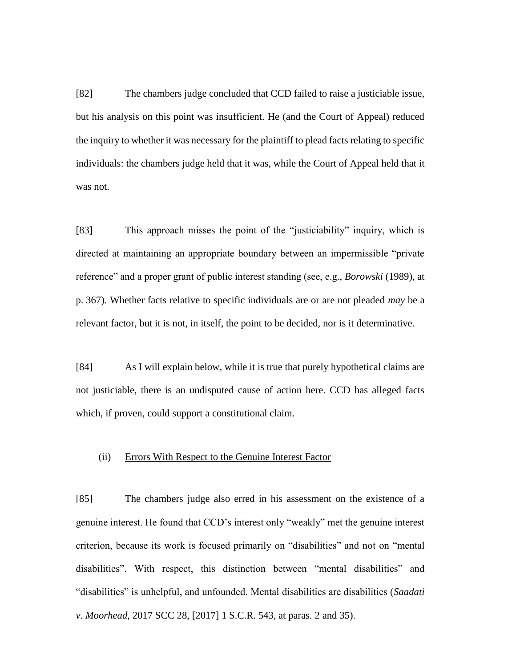[82] The chambers judge concluded that CCD failed to raise a justiciable issue, but his analysis on this point was insufficient. He (and the Court of Appeal) reduced the inquiry to whether it was necessary for the plaintiff to plead facts relating to specific individuals: the chambers judge held that it was, while the Court of Appeal held that it was not.

[83] This approach misses the point of the "justiciability" inquiry, which is directed at maintaining an appropriate boundary between an impermissible "private reference" and a proper grant of public interest standing (see, e.g., *Borowski* (1989), at p. 367). Whether facts relative to specific individuals are or are not pleaded *may* be a relevant factor, but it is not, in itself, the point to be decided, nor is it determinative.

[84] As I will explain below, while it is true that purely hypothetical claims are not justiciable, there is an undisputed cause of action here. CCD has alleged facts which, if proven, could support a constitutional claim.

### (ii) Errors With Respect to the Genuine Interest Factor

[85] The chambers judge also erred in his assessment on the existence of a genuine interest. He found that CCD's interest only "weakly" met the genuine interest criterion, because its work is focused primarily on "disabilities" and not on "mental disabilities". With respect, this distinction between "mental disabilities" and "disabilities" is unhelpful, and unfounded. Mental disabilities are disabilities (*Saadati v. Moorhead*, 2017 SCC 28, [2017] 1 S.C.R. 543, at paras. 2 and 35).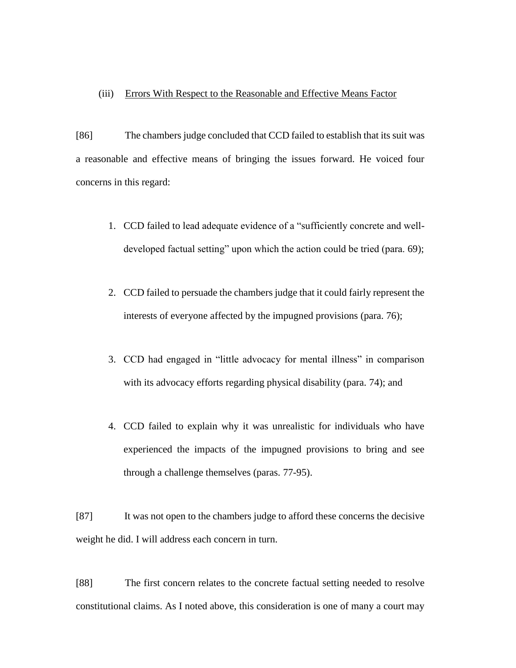### (iii) Errors With Respect to the Reasonable and Effective Means Factor

[86] The chambers judge concluded that CCD failed to establish that its suit was a reasonable and effective means of bringing the issues forward. He voiced four concerns in this regard:

- 1. CCD failed to lead adequate evidence of a "sufficiently concrete and welldeveloped factual setting" upon which the action could be tried (para. 69);
- 2. CCD failed to persuade the chambers judge that it could fairly represent the interests of everyone affected by the impugned provisions (para. 76);
- 3. CCD had engaged in "little advocacy for mental illness" in comparison with its advocacy efforts regarding physical disability (para. 74); and
- 4. CCD failed to explain why it was unrealistic for individuals who have experienced the impacts of the impugned provisions to bring and see through a challenge themselves (paras. 77-95).

[87] It was not open to the chambers judge to afford these concerns the decisive weight he did. I will address each concern in turn.

[88] The first concern relates to the concrete factual setting needed to resolve constitutional claims. As I noted above, this consideration is one of many a court may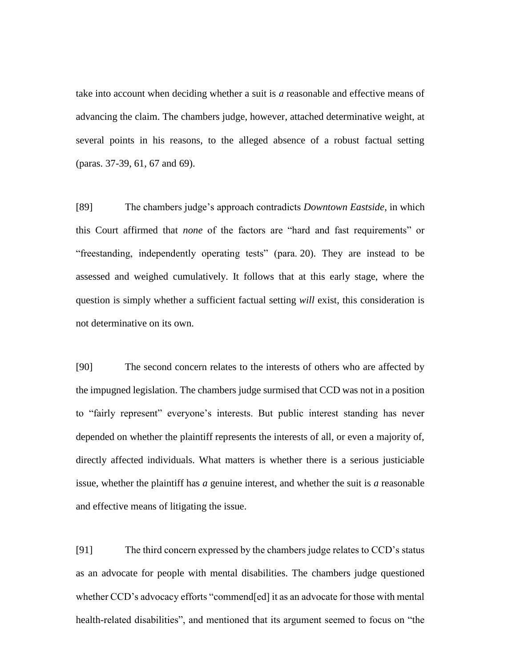take into account when deciding whether a suit is *a* reasonable and effective means of advancing the claim. The chambers judge, however, attached determinative weight, at several points in his reasons, to the alleged absence of a robust factual setting (paras. 37-39, 61, 67 and 69).

[89] The chambers judge's approach contradicts *Downtown Eastside*, in which this Court affirmed that *none* of the factors are "hard and fast requirements" or "freestanding, independently operating tests" (para. 20). They are instead to be assessed and weighed cumulatively. It follows that at this early stage, where the question is simply whether a sufficient factual setting *will* exist, this consideration is not determinative on its own.

[90] The second concern relates to the interests of others who are affected by the impugned legislation. The chambers judge surmised that CCD was not in a position to "fairly represent" everyone's interests. But public interest standing has never depended on whether the plaintiff represents the interests of all, or even a majority of, directly affected individuals. What matters is whether there is a serious justiciable issue, whether the plaintiff has *a* genuine interest, and whether the suit is *a* reasonable and effective means of litigating the issue.

[91] The third concern expressed by the chambers judge relates to CCD's status as an advocate for people with mental disabilities. The chambers judge questioned whether CCD's advocacy efforts "commend[ed] it as an advocate for those with mental health-related disabilities", and mentioned that its argument seemed to focus on "the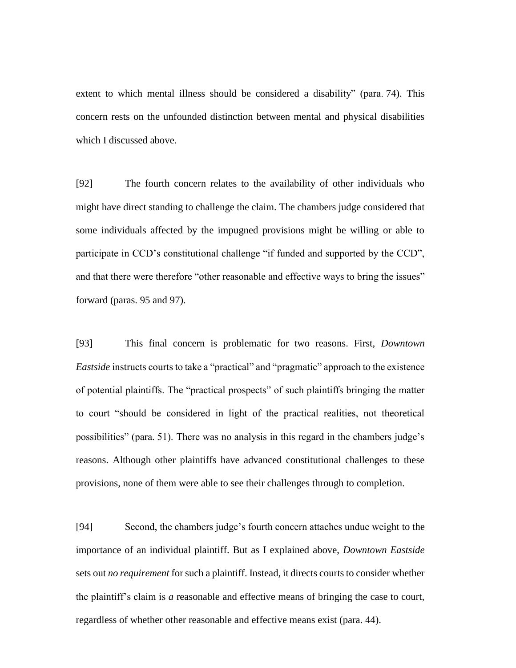extent to which mental illness should be considered a disability" (para. 74). This concern rests on the unfounded distinction between mental and physical disabilities which I discussed above.

[92] The fourth concern relates to the availability of other individuals who might have direct standing to challenge the claim. The chambers judge considered that some individuals affected by the impugned provisions might be willing or able to participate in CCD's constitutional challenge "if funded and supported by the CCD", and that there were therefore "other reasonable and effective ways to bring the issues" forward (paras. 95 and 97).

[93] This final concern is problematic for two reasons. First, *Downtown Eastside* instructs courts to take a "practical" and "pragmatic" approach to the existence of potential plaintiffs. The "practical prospects" of such plaintiffs bringing the matter to court "should be considered in light of the practical realities, not theoretical possibilities" (para. 51). There was no analysis in this regard in the chambers judge's reasons. Although other plaintiffs have advanced constitutional challenges to these provisions, none of them were able to see their challenges through to completion.

[94] Second, the chambers judge's fourth concern attaches undue weight to the importance of an individual plaintiff. But as I explained above, *Downtown Eastside*  sets out *no requirement* for such a plaintiff. Instead, it directs courts to consider whether the plaintiff's claim is *a* reasonable and effective means of bringing the case to court, regardless of whether other reasonable and effective means exist (para. 44).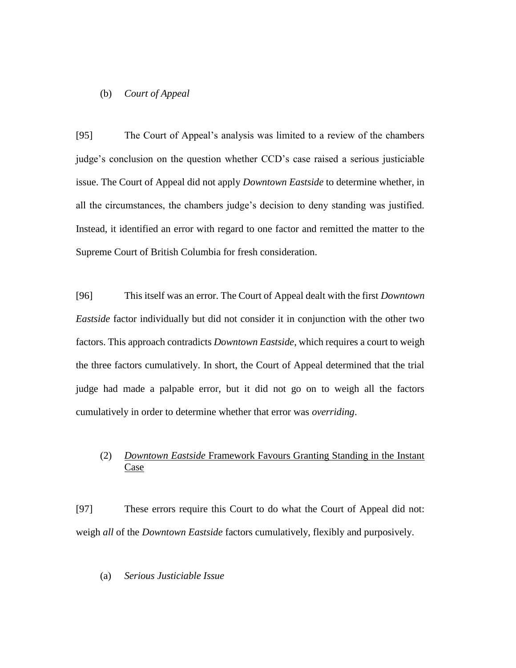## (b) *Court of Appeal*

[95] The Court of Appeal's analysis was limited to a review of the chambers judge's conclusion on the question whether CCD's case raised a serious justiciable issue. The Court of Appeal did not apply *Downtown Eastside* to determine whether, in all the circumstances, the chambers judge's decision to deny standing was justified. Instead, it identified an error with regard to one factor and remitted the matter to the Supreme Court of British Columbia for fresh consideration.

[96] This itself was an error. The Court of Appeal dealt with the first *Downtown Eastside* factor individually but did not consider it in conjunction with the other two factors. This approach contradicts *Downtown Eastside*, which requires a court to weigh the three factors cumulatively. In short, the Court of Appeal determined that the trial judge had made a palpable error, but it did not go on to weigh all the factors cumulatively in order to determine whether that error was *overriding*.

# (2) *Downtown Eastside* Framework Favours Granting Standing in the Instant Case

[97] These errors require this Court to do what the Court of Appeal did not: weigh *all* of the *Downtown Eastside* factors cumulatively, flexibly and purposively.

## (a) *Serious Justiciable Issue*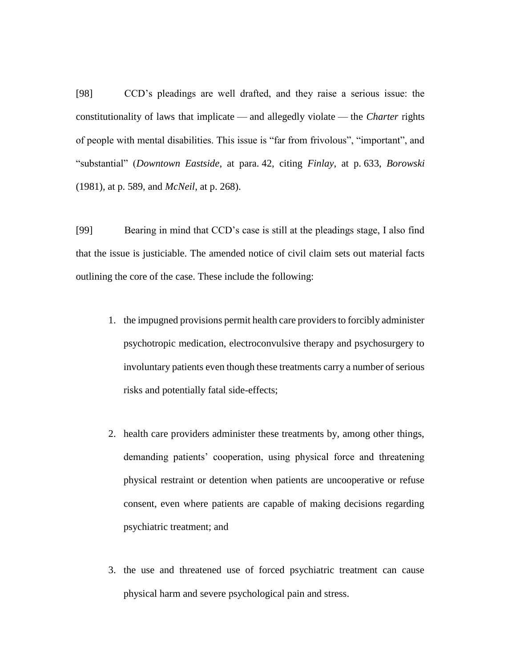[98] CCD's pleadings are well drafted, and they raise a serious issue: the constitutionality of laws that implicate — and allegedly violate — the *Charter* rights of people with mental disabilities. This issue is "far from frivolous", "important", and "substantial" (*Downtown Eastside*, at para. 42, citing *Finlay*, at p. 633, *Borowski*  (1981), at p. 589, and *McNeil*, at p. 268).

[99] Bearing in mind that CCD's case is still at the pleadings stage, I also find that the issue is justiciable. The amended notice of civil claim sets out material facts outlining the core of the case. These include the following:

- 1. the impugned provisions permit health care providers to forcibly administer psychotropic medication, electroconvulsive therapy and psychosurgery to involuntary patients even though these treatments carry a number of serious risks and potentially fatal side-effects;
- 2. health care providers administer these treatments by, among other things, demanding patients' cooperation, using physical force and threatening physical restraint or detention when patients are uncooperative or refuse consent, even where patients are capable of making decisions regarding psychiatric treatment; and
- 3. the use and threatened use of forced psychiatric treatment can cause physical harm and severe psychological pain and stress.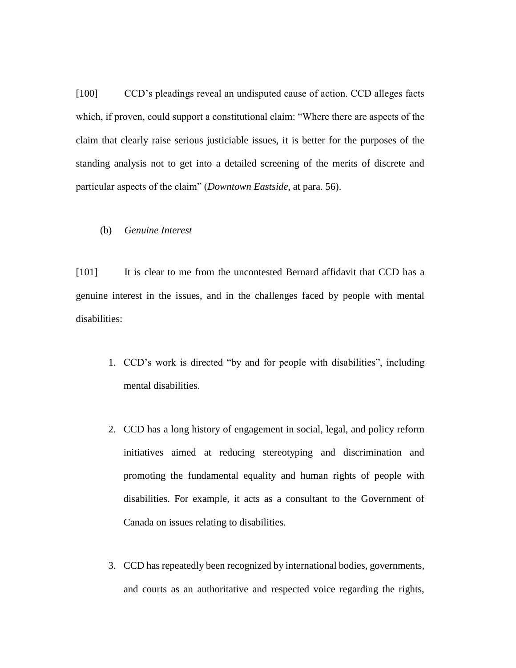[100] CCD's pleadings reveal an undisputed cause of action. CCD alleges facts which, if proven, could support a constitutional claim: "Where there are aspects of the claim that clearly raise serious justiciable issues, it is better for the purposes of the standing analysis not to get into a detailed screening of the merits of discrete and particular aspects of the claim" (*Downtown Eastside*, at para. 56).

## (b) *Genuine Interest*

[101] It is clear to me from the uncontested Bernard affidavit that CCD has a genuine interest in the issues, and in the challenges faced by people with mental disabilities:

- 1. CCD's work is directed "by and for people with disabilities", including mental disabilities.
- 2. CCD has a long history of engagement in social, legal, and policy reform initiatives aimed at reducing stereotyping and discrimination and promoting the fundamental equality and human rights of people with disabilities. For example, it acts as a consultant to the Government of Canada on issues relating to disabilities.
- 3. CCD has repeatedly been recognized by international bodies, governments, and courts as an authoritative and respected voice regarding the rights,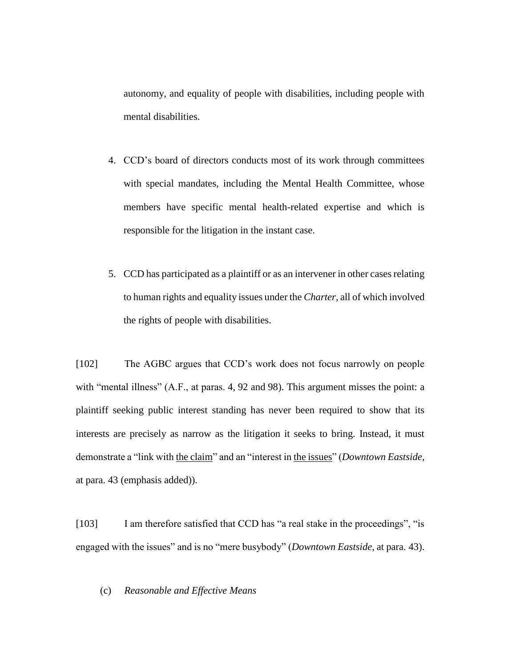autonomy, and equality of people with disabilities, including people with mental disabilities.

- 4. CCD's board of directors conducts most of its work through committees with special mandates, including the Mental Health Committee, whose members have specific mental health-related expertise and which is responsible for the litigation in the instant case.
- 5. CCD has participated as a plaintiff or as an intervener in other cases relating to human rights and equality issues under the *Charter*, all of which involved the rights of people with disabilities.

[102] The AGBC argues that CCD's work does not focus narrowly on people with "mental illness" (A.F., at paras. 4, 92 and 98). This argument misses the point: a plaintiff seeking public interest standing has never been required to show that its interests are precisely as narrow as the litigation it seeks to bring. Instead, it must demonstrate a "link with the claim" and an "interest in the issues" (*Downtown Eastside*, at para. 43 (emphasis added)).

[103] I am therefore satisfied that CCD has "a real stake in the proceedings", "is engaged with the issues" and is no "mere busybody" (*Downtown Eastside*, at para. 43).

## (c) *Reasonable and Effective Means*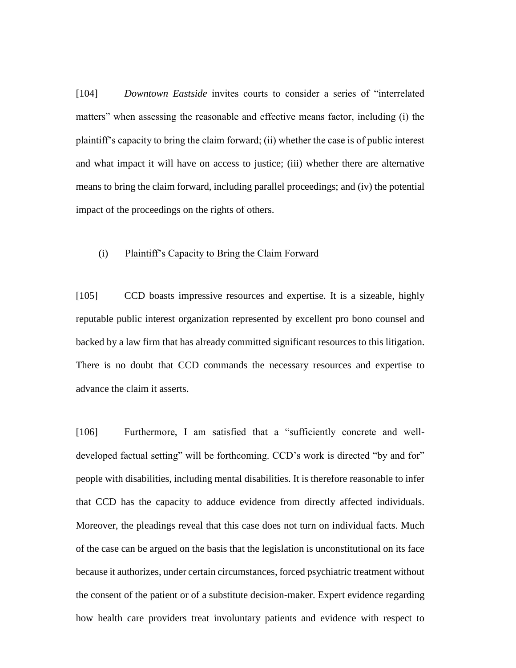[104] *Downtown Eastside* invites courts to consider a series of "interrelated matters" when assessing the reasonable and effective means factor, including (i) the plaintiff's capacity to bring the claim forward; (ii) whether the case is of public interest and what impact it will have on access to justice; (iii) whether there are alternative means to bring the claim forward, including parallel proceedings; and (iv) the potential impact of the proceedings on the rights of others.

# (i) Plaintiff's Capacity to Bring the Claim Forward

[105] CCD boasts impressive resources and expertise. It is a sizeable, highly reputable public interest organization represented by excellent pro bono counsel and backed by a law firm that has already committed significant resources to this litigation. There is no doubt that CCD commands the necessary resources and expertise to advance the claim it asserts.

[106] Furthermore, I am satisfied that a "sufficiently concrete and welldeveloped factual setting" will be forthcoming. CCD's work is directed "by and for" people with disabilities, including mental disabilities. It is therefore reasonable to infer that CCD has the capacity to adduce evidence from directly affected individuals. Moreover, the pleadings reveal that this case does not turn on individual facts. Much of the case can be argued on the basis that the legislation is unconstitutional on its face because it authorizes, under certain circumstances, forced psychiatric treatment without the consent of the patient or of a substitute decision-maker. Expert evidence regarding how health care providers treat involuntary patients and evidence with respect to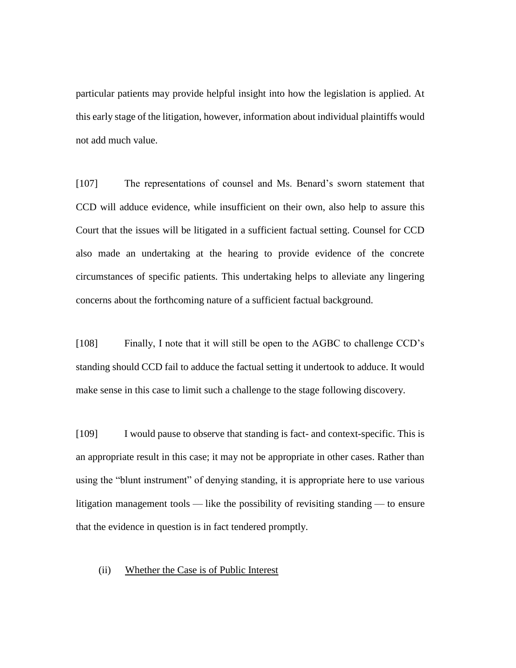particular patients may provide helpful insight into how the legislation is applied. At this early stage of the litigation, however, information about individual plaintiffs would not add much value.

[107] The representations of counsel and Ms. Benard's sworn statement that CCD will adduce evidence, while insufficient on their own, also help to assure this Court that the issues will be litigated in a sufficient factual setting. Counsel for CCD also made an undertaking at the hearing to provide evidence of the concrete circumstances of specific patients. This undertaking helps to alleviate any lingering concerns about the forthcoming nature of a sufficient factual background.

[108] Finally, I note that it will still be open to the AGBC to challenge CCD's standing should CCD fail to adduce the factual setting it undertook to adduce. It would make sense in this case to limit such a challenge to the stage following discovery.

[109] I would pause to observe that standing is fact- and context-specific. This is an appropriate result in this case; it may not be appropriate in other cases. Rather than using the "blunt instrument" of denying standing, it is appropriate here to use various litigation management tools — like the possibility of revisiting standing — to ensure that the evidence in question is in fact tendered promptly.

### (ii) Whether the Case is of Public Interest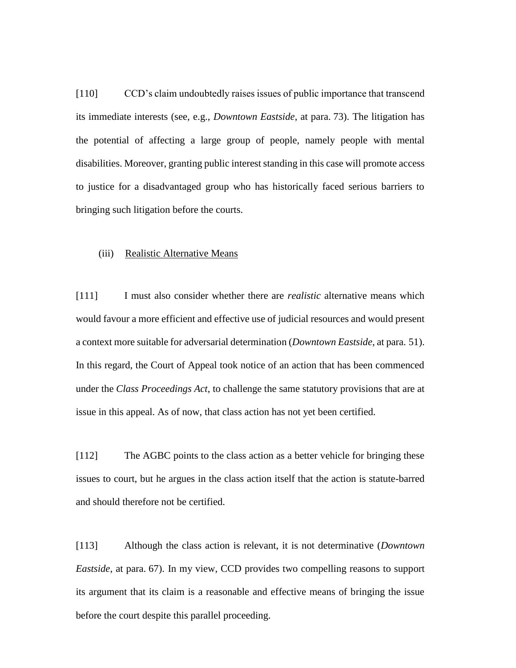[110] CCD's claim undoubtedly raises issues of public importance that transcend its immediate interests (see, e.g., *Downtown Eastside*, at para. 73). The litigation has the potential of affecting a large group of people, namely people with mental disabilities. Moreover, granting public interest standing in this case will promote access to justice for a disadvantaged group who has historically faced serious barriers to bringing such litigation before the courts.

#### (iii) Realistic Alternative Means

[111] I must also consider whether there are *realistic* alternative means which would favour a more efficient and effective use of judicial resources and would present a context more suitable for adversarial determination (*Downtown Eastside*, at para. 51). In this regard, the Court of Appeal took notice of an action that has been commenced under the *Class Proceedings Act*, to challenge the same statutory provisions that are at issue in this appeal. As of now, that class action has not yet been certified.

[112] The AGBC points to the class action as a better vehicle for bringing these issues to court, but he argues in the class action itself that the action is statute-barred and should therefore not be certified.

[113] Although the class action is relevant, it is not determinative (*Downtown Eastside*, at para. 67). In my view, CCD provides two compelling reasons to support its argument that its claim is a reasonable and effective means of bringing the issue before the court despite this parallel proceeding.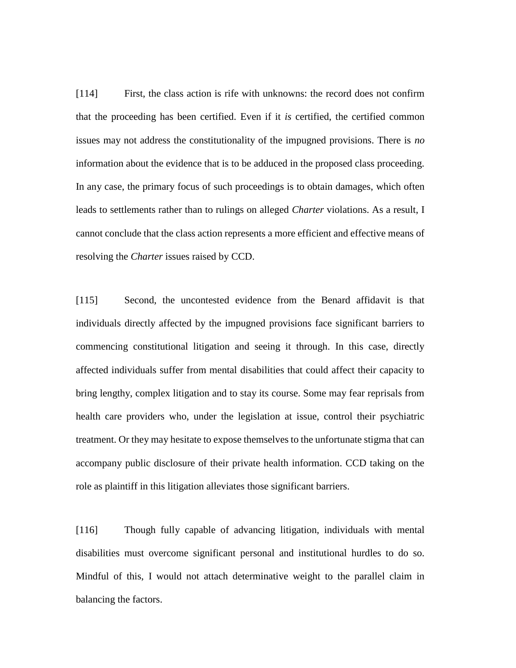[114] First, the class action is rife with unknowns: the record does not confirm that the proceeding has been certified. Even if it *is* certified, the certified common issues may not address the constitutionality of the impugned provisions. There is *no*  information about the evidence that is to be adduced in the proposed class proceeding. In any case, the primary focus of such proceedings is to obtain damages, which often leads to settlements rather than to rulings on alleged *Charter* violations. As a result, I cannot conclude that the class action represents a more efficient and effective means of resolving the *Charter* issues raised by CCD.

[115] Second, the uncontested evidence from the Benard affidavit is that individuals directly affected by the impugned provisions face significant barriers to commencing constitutional litigation and seeing it through. In this case, directly affected individuals suffer from mental disabilities that could affect their capacity to bring lengthy, complex litigation and to stay its course. Some may fear reprisals from health care providers who, under the legislation at issue, control their psychiatric treatment. Or they may hesitate to expose themselves to the unfortunate stigma that can accompany public disclosure of their private health information. CCD taking on the role as plaintiff in this litigation alleviates those significant barriers.

[116] Though fully capable of advancing litigation, individuals with mental disabilities must overcome significant personal and institutional hurdles to do so. Mindful of this, I would not attach determinative weight to the parallel claim in balancing the factors.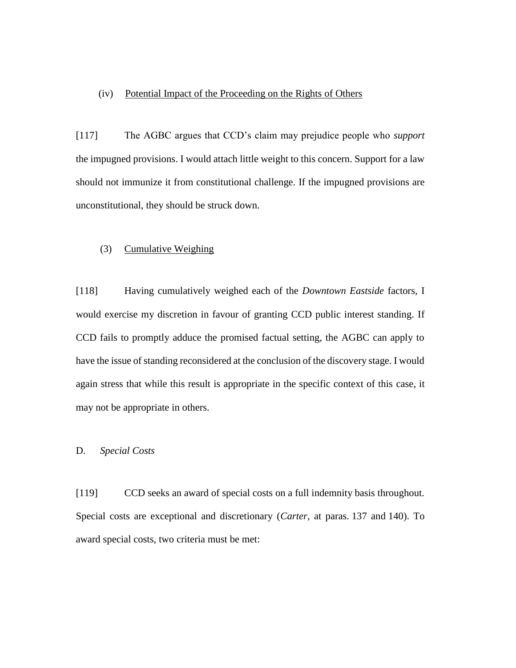# (iv) Potential Impact of the Proceeding on the Rights of Others

[117] The AGBC argues that CCD's claim may prejudice people who *support*  the impugned provisions. I would attach little weight to this concern. Support for a law should not immunize it from constitutional challenge. If the impugned provisions are unconstitutional, they should be struck down.

## (3) Cumulative Weighing

[118] Having cumulatively weighed each of the *Downtown Eastside* factors, I would exercise my discretion in favour of granting CCD public interest standing. If CCD fails to promptly adduce the promised factual setting, the AGBC can apply to have the issue of standing reconsidered at the conclusion of the discovery stage. I would again stress that while this result is appropriate in the specific context of this case, it may not be appropriate in others.

# D. *Special Costs*

[119] CCD seeks an award of special costs on a full indemnity basis throughout. Special costs are exceptional and discretionary (*Carter*, at paras. 137 and 140). To award special costs, two criteria must be met: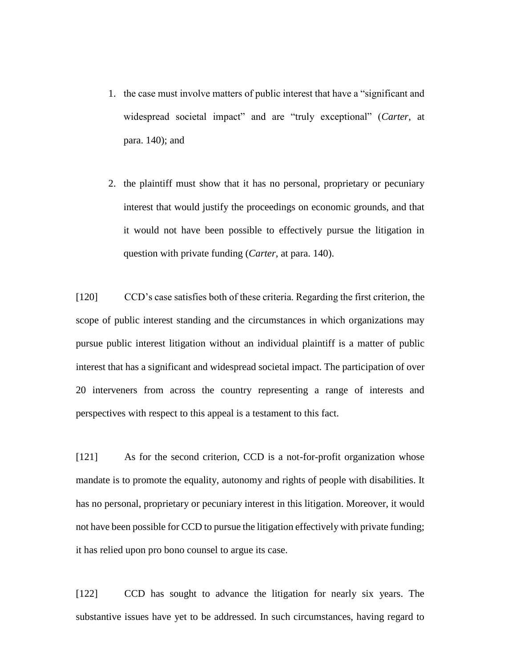- 1. the case must involve matters of public interest that have a "significant and widespread societal impact" and are "truly exceptional" (*Carter*, at para. 140); and
- 2. the plaintiff must show that it has no personal, proprietary or pecuniary interest that would justify the proceedings on economic grounds, and that it would not have been possible to effectively pursue the litigation in question with private funding (*Carter*, at para. 140).

[120] CCD's case satisfies both of these criteria. Regarding the first criterion, the scope of public interest standing and the circumstances in which organizations may pursue public interest litigation without an individual plaintiff is a matter of public interest that has a significant and widespread societal impact. The participation of over 20 interveners from across the country representing a range of interests and perspectives with respect to this appeal is a testament to this fact.

[121] As for the second criterion, CCD is a not-for-profit organization whose mandate is to promote the equality, autonomy and rights of people with disabilities. It has no personal, proprietary or pecuniary interest in this litigation. Moreover, it would not have been possible for CCD to pursue the litigation effectively with private funding; it has relied upon pro bono counsel to argue its case.

[122] CCD has sought to advance the litigation for nearly six years. The substantive issues have yet to be addressed. In such circumstances, having regard to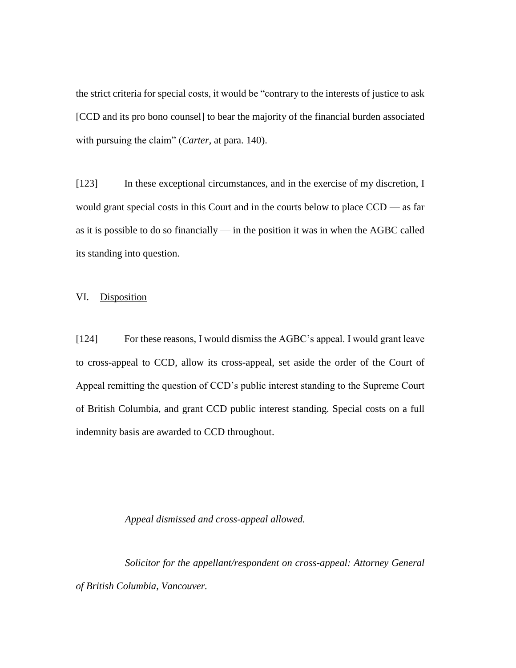the strict criteria for special costs, it would be "contrary to the interests of justice to ask [CCD and its pro bono counsel] to bear the majority of the financial burden associated with pursuing the claim" (*Carter*, at para. 140).

[123] In these exceptional circumstances, and in the exercise of my discretion, I would grant special costs in this Court and in the courts below to place CCD — as far as it is possible to do so financially — in the position it was in when the AGBC called its standing into question.

# VI. Disposition

[124] For these reasons, I would dismiss the AGBC's appeal. I would grant leave to cross-appeal to CCD, allow its cross-appeal, set aside the order of the Court of Appeal remitting the question of CCD's public interest standing to the Supreme Court of British Columbia, and grant CCD public interest standing. Special costs on a full indemnity basis are awarded to CCD throughout.

## *Appeal dismissed and cross-appeal allowed.*

*Solicitor for the appellant/respondent on cross-appeal: Attorney General of British Columbia, Vancouver.*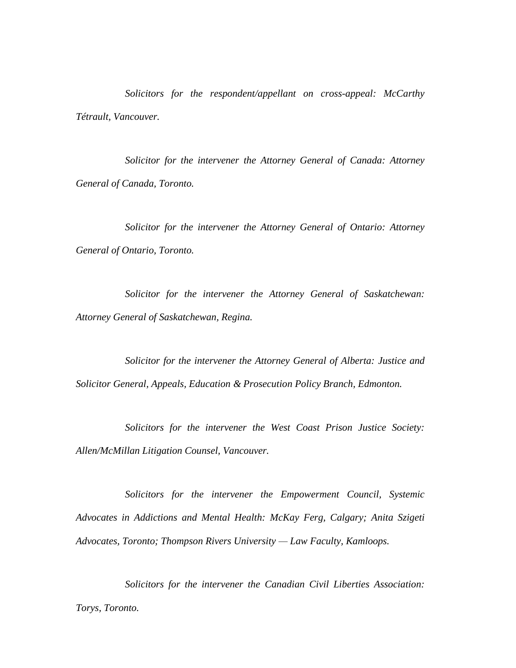*Solicitors for the respondent/appellant on cross-appeal: McCarthy Tétrault, Vancouver.*

*Solicitor for the intervener the Attorney General of Canada: Attorney General of Canada, Toronto.*

*Solicitor for the intervener the Attorney General of Ontario: Attorney General of Ontario, Toronto.*

*Solicitor for the intervener the Attorney General of Saskatchewan: Attorney General of Saskatchewan, Regina.*

*Solicitor for the intervener the Attorney General of Alberta: Justice and Solicitor General, Appeals, Education & Prosecution Policy Branch, Edmonton.*

*Solicitors for the intervener the West Coast Prison Justice Society: Allen/McMillan Litigation Counsel, Vancouver.*

*Solicitors for the intervener the Empowerment Council, Systemic Advocates in Addictions and Mental Health: McKay Ferg, Calgary; Anita Szigeti Advocates, Toronto; Thompson Rivers University — Law Faculty, Kamloops.*

*Solicitors for the intervener the Canadian Civil Liberties Association: Torys, Toronto.*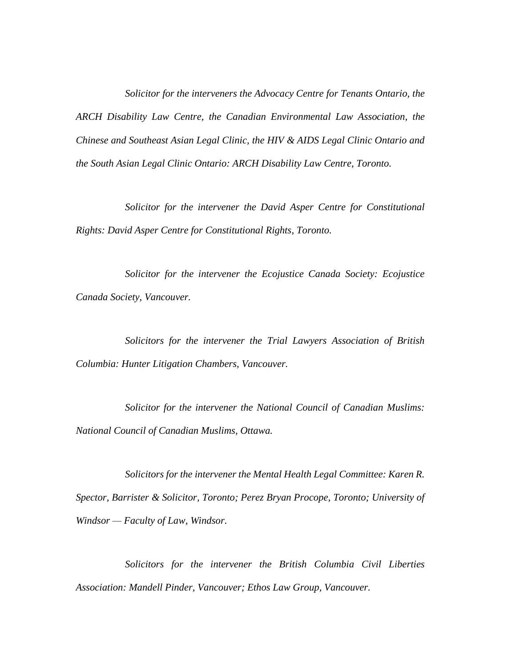*Solicitor for the interveners the Advocacy Centre for Tenants Ontario, the ARCH Disability Law Centre, the Canadian Environmental Law Association, the Chinese and Southeast Asian Legal Clinic, the HIV & AIDS Legal Clinic Ontario and the South Asian Legal Clinic Ontario: ARCH Disability Law Centre, Toronto.*

*Solicitor for the intervener the David Asper Centre for Constitutional Rights: David Asper Centre for Constitutional Rights, Toronto.*

*Solicitor for the intervener the Ecojustice Canada Society: Ecojustice Canada Society, Vancouver.*

*Solicitors for the intervener the Trial Lawyers Association of British Columbia: Hunter Litigation Chambers, Vancouver.*

*Solicitor for the intervener the National Council of Canadian Muslims: National Council of Canadian Muslims, Ottawa.*

*Solicitors for the intervener the Mental Health Legal Committee: Karen R. Spector, Barrister & Solicitor, Toronto; Perez Bryan Procope, Toronto; University of Windsor — Faculty of Law, Windsor.*

*Solicitors for the intervener the British Columbia Civil Liberties Association: Mandell Pinder, Vancouver; Ethos Law Group, Vancouver.*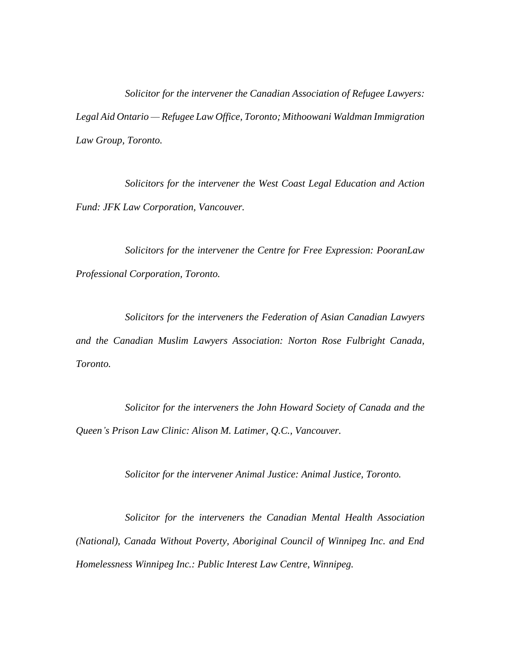*Solicitor for the intervener the Canadian Association of Refugee Lawyers: Legal Aid Ontario — Refugee Law Office, Toronto; Mithoowani Waldman Immigration Law Group, Toronto.*

*Solicitors for the intervener the West Coast Legal Education and Action Fund: JFK Law Corporation, Vancouver.*

*Solicitors for the intervener the Centre for Free Expression: PooranLaw Professional Corporation, Toronto.*

*Solicitors for the interveners the Federation of Asian Canadian Lawyers and the Canadian Muslim Lawyers Association: Norton Rose Fulbright Canada, Toronto.*

*Solicitor for the interveners the John Howard Society of Canada and the Queen's Prison Law Clinic: Alison M. Latimer, Q.C., Vancouver.*

*Solicitor for the intervener Animal Justice: Animal Justice, Toronto.*

*Solicitor for the interveners the Canadian Mental Health Association (National), Canada Without Poverty, Aboriginal Council of Winnipeg Inc. and End Homelessness Winnipeg Inc.: Public Interest Law Centre, Winnipeg.*